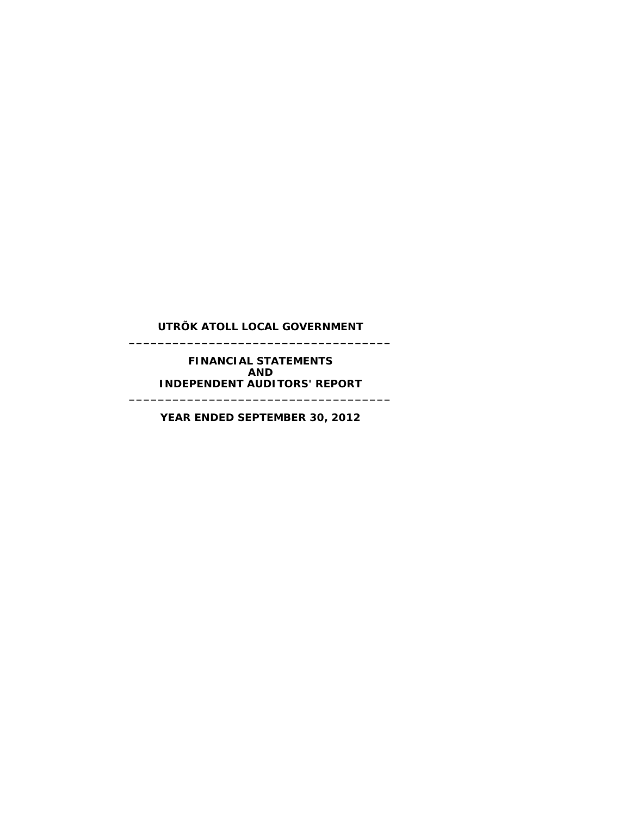# **UTRÕK ATOLL LOCAL GOVERNMENT \_\_\_\_\_\_\_\_\_\_\_\_\_\_\_\_\_\_\_\_\_\_\_\_\_\_\_\_\_\_\_\_\_\_\_\_**

**FINANCIAL STATEMENTS AND INDEPENDENT AUDITORS' REPORT**

**YEAR ENDED SEPTEMBER 30, 2012**

**\_\_\_\_\_\_\_\_\_\_\_\_\_\_\_\_\_\_\_\_\_\_\_\_\_\_\_\_\_\_\_\_\_\_\_\_**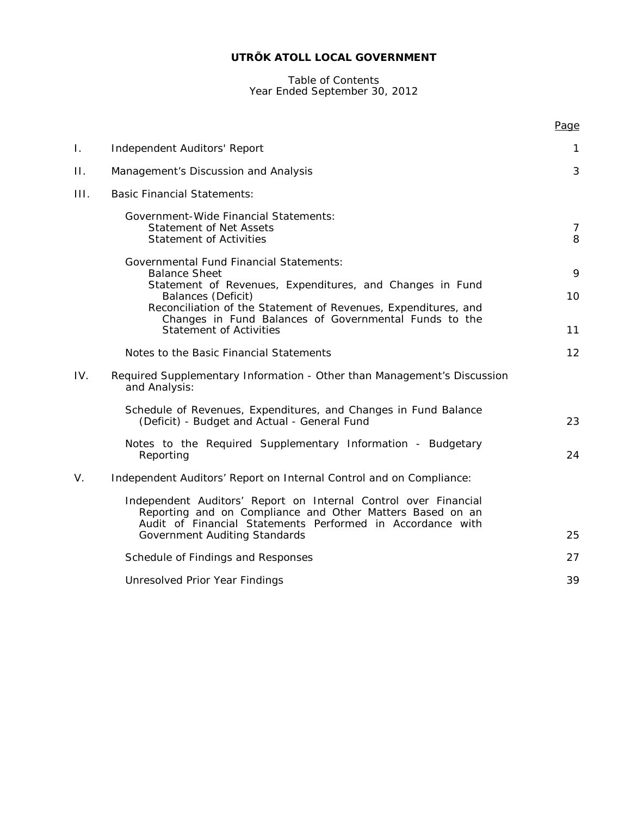# Table of Contents Year Ended September 30, 2012

|         |                                                                                                                                                                                            | Page         |
|---------|--------------------------------------------------------------------------------------------------------------------------------------------------------------------------------------------|--------------|
| Τ.      | Independent Auditors' Report                                                                                                                                                               | $\mathbf{1}$ |
| $\Pi$ . | Management's Discussion and Analysis                                                                                                                                                       | 3            |
| III.    | <b>Basic Financial Statements:</b>                                                                                                                                                         |              |
|         | Government-Wide Financial Statements:<br><b>Statement of Net Assets</b><br><b>Statement of Activities</b>                                                                                  | 7<br>8       |
|         | <b>Governmental Fund Financial Statements:</b><br><b>Balance Sheet</b>                                                                                                                     | 9            |
|         | Statement of Revenues, Expenditures, and Changes in Fund<br>Balances (Deficit)<br>Reconciliation of the Statement of Revenues, Expenditures, and                                           | 10           |
|         | Changes in Fund Balances of Governmental Funds to the<br><b>Statement of Activities</b>                                                                                                    | 11           |
|         | Notes to the Basic Financial Statements                                                                                                                                                    | 12           |
| IV.     | Required Supplementary Information - Other than Management's Discussion<br>and Analysis:                                                                                                   |              |
|         | Schedule of Revenues, Expenditures, and Changes in Fund Balance<br>(Deficit) - Budget and Actual - General Fund                                                                            | 23           |
|         | Notes to the Required Supplementary Information - Budgetary<br>Reporting                                                                                                                   | 24           |
| V.      | Independent Auditors' Report on Internal Control and on Compliance:                                                                                                                        |              |
|         | Independent Auditors' Report on Internal Control over Financial<br>Reporting and on Compliance and Other Matters Based on an<br>Audit of Financial Statements Performed in Accordance with |              |
|         | Government Auditing Standards                                                                                                                                                              | 25           |
|         | Schedule of Findings and Responses                                                                                                                                                         | 27           |
|         | Unresolved Prior Year Findings                                                                                                                                                             | 39           |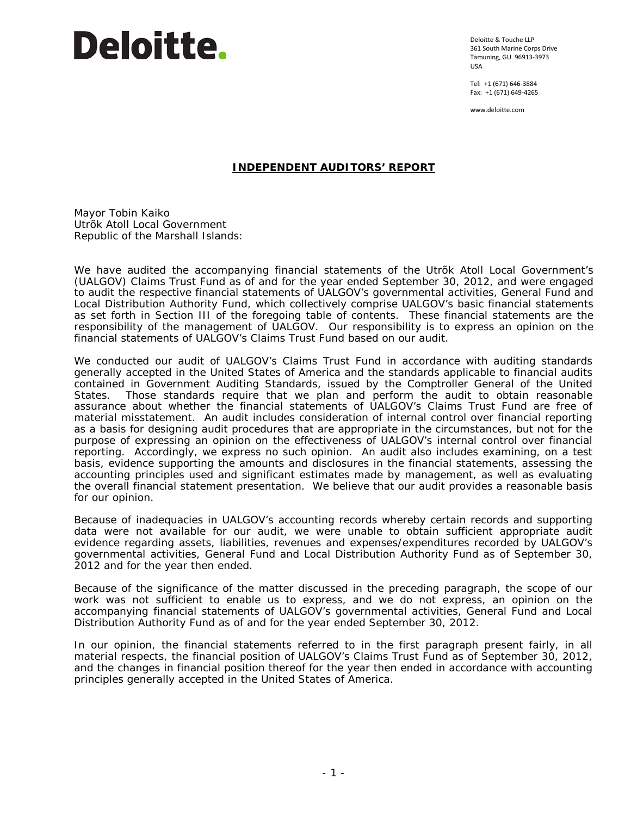# Deloitte.

Deloitte & Touche LLP 361 South Marine Corps Drive Tamuning, GU 96913-3973 USA

Tel: +1 (671) 646-3884 Fax: +1 (671) 649-4265

www.deloitte.com

# **INDEPENDENT AUDITORS' REPORT**

Mayor Tobin Kaiko Utrõk Atoll Local Government Republic of the Marshall Islands:

We have audited the accompanying financial statements of the Utrõk Atoll Local Government's (UALGOV) Claims Trust Fund as of and for the year ended September 30, 2012, and were engaged to audit the respective financial statements of UALGOV's governmental activities, General Fund and Local Distribution Authority Fund, which collectively comprise UALGOV's basic financial statements as set forth in Section III of the foregoing table of contents. These financial statements are the responsibility of the management of UALGOV. Our responsibility is to express an opinion on the financial statements of UALGOV's Claims Trust Fund based on our audit.

We conducted our audit of UALGOV's Claims Trust Fund in accordance with auditing standards generally accepted in the United States of America and the standards applicable to financial audits contained in *Government Auditing Standards*, issued by the Comptroller General of the United States. Those standards require that we plan and perform the audit to obtain reasonable assurance about whether the financial statements of UALGOV's Claims Trust Fund are free of material misstatement. An audit includes consideration of internal control over financial reporting as a basis for designing audit procedures that are appropriate in the circumstances, but not for the purpose of expressing an opinion on the effectiveness of UALGOV's internal control over financial reporting. Accordingly, we express no such opinion. An audit also includes examining, on a test basis, evidence supporting the amounts and disclosures in the financial statements, assessing the accounting principles used and significant estimates made by management, as well as evaluating the overall financial statement presentation. We believe that our audit provides a reasonable basis for our opinion.

Because of inadequacies in UALGOV's accounting records whereby certain records and supporting data were not available for our audit, we were unable to obtain sufficient appropriate audit evidence regarding assets, liabilities, revenues and expenses/expenditures recorded by UALGOV's governmental activities, General Fund and Local Distribution Authority Fund as of September 30, 2012 and for the year then ended.

Because of the significance of the matter discussed in the preceding paragraph, the scope of our work was not sufficient to enable us to express, and we do not express, an opinion on the accompanying financial statements of UALGOV's governmental activities, General Fund and Local Distribution Authority Fund as of and for the year ended September 30, 2012.

In our opinion, the financial statements referred to in the first paragraph present fairly, in all material respects, the financial position of UALGOV's Claims Trust Fund as of September 30, 2012, and the changes in financial position thereof for the year then ended in accordance with accounting principles generally accepted in the United States of America.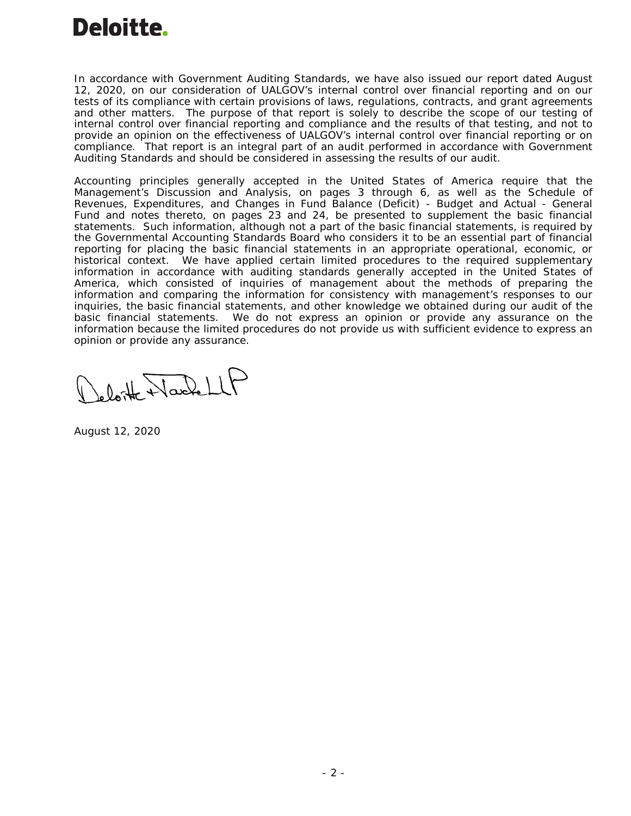

In accordance with *Government Auditing Standards*, we have also issued our report dated August 12, 2020, on our consideration of UALGOV's internal control over financial reporting and on our tests of its compliance with certain provisions of laws, regulations, contracts, and grant agreements and other matters. The purpose of that report is solely to describe the scope of our testing of internal control over financial reporting and compliance and the results of that testing, and not to provide an opinion on the effectiveness of UALGOV's internal control over financial reporting or on compliance. That report is an integral part of an audit performed in accordance with *Government Auditing Standards* and should be considered in assessing the results of our audit.

Accounting principles generally accepted in the United States of America require that the Management's Discussion and Analysis, on pages 3 through 6, as well as the Schedule of Revenues, Expenditures, and Changes in Fund Balance (Deficit) - Budget and Actual - General Fund and notes thereto, on pages 23 and 24, be presented to supplement the basic financial statements. Such information, although not a part of the basic financial statements, is required by the Governmental Accounting Standards Board who considers it to be an essential part of financial reporting for placing the basic financial statements in an appropriate operational, economic, or historical context. We have applied certain limited procedures to the required supplementary information in accordance with auditing standards generally accepted in the United States of America, which consisted of inquiries of management about the methods of preparing the information and comparing the information for consistency with management's responses to our inquiries, the basic financial statements, and other knowledge we obtained during our audit of the basic financial statements. We do not express an opinion or provide any assurance on the information because the limited procedures do not provide us with sufficient evidence to express an opinion or provide any assurance.

beloit NachellP

August 12, 2020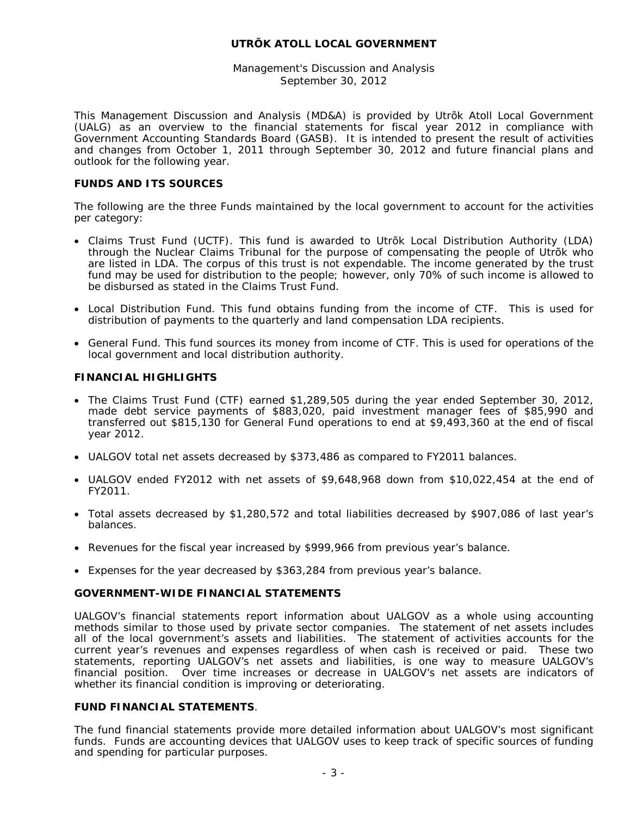Management's Discussion and Analysis September 30, 2012

This Management Discussion and Analysis (MD&A) is provided by Utrõk Atoll Local Government (UALG) as an overview to the financial statements for fiscal year 2012 in compliance with Government Accounting Standards Board (GASB). It is intended to present the result of activities and changes from October 1, 2011 through September 30, 2012 and future financial plans and outlook for the following year.

# **FUNDS AND ITS SOURCES**

The following are the three Funds maintained by the local government to account for the activities per category:

- Claims Trust Fund (UCTF). This fund is awarded to Utrõk Local Distribution Authority (LDA) through the Nuclear Claims Tribunal for the purpose of compensating the people of Utrõk who are listed in LDA. The corpus of this trust is not expendable. The income generated by the trust fund may be used for distribution to the people; however, only 70% of such income is allowed to be disbursed as stated in the Claims Trust Fund.
- Local Distribution Fund. This fund obtains funding from the income of CTF. This is used for distribution of payments to the quarterly and land compensation LDA recipients.
- General Fund. This fund sources its money from income of CTF. This is used for operations of the local government and local distribution authority.

# **FINANCIAL HIGHLIGHTS**

- The Claims Trust Fund (CTF) earned \$1,289,505 during the year ended September 30, 2012, made debt service payments of \$883,020, paid investment manager fees of \$85,990 and transferred out \$815,130 for General Fund operations to end at \$9,493,360 at the end of fiscal year 2012.
- UALGOV total net assets decreased by \$373,486 as compared to FY2011 balances.
- UALGOV ended FY2012 with net assets of \$9,648,968 down from \$10,022,454 at the end of FY2011.
- Total assets decreased by \$1,280,572 and total liabilities decreased by \$907,086 of last year's balances.
- Revenues for the fiscal year increased by \$999,966 from previous year's balance.
- Expenses for the year decreased by \$363,284 from previous year's balance.

#### **GOVERNMENT-WIDE FINANCIAL STATEMENTS**

UALGOV's financial statements report information about UALGOV as a whole using accounting methods similar to those used by private sector companies. The statement of net assets includes all of the local government's assets and liabilities. The statement of activities accounts for the current year's revenues and expenses regardless of when cash is received or paid. These two statements, reporting UALGOV's net assets and liabilities, is one way to measure UALGOV's financial position. Over time increases or decrease in UALGOV's net assets are indicators of whether its financial condition is improving or deteriorating.

#### **FUND FINANCIAL STATEMENTS**.

The fund financial statements provide more detailed information about UALGOV's most significant funds. Funds are accounting devices that UALGOV uses to keep track of specific sources of funding and spending for particular purposes.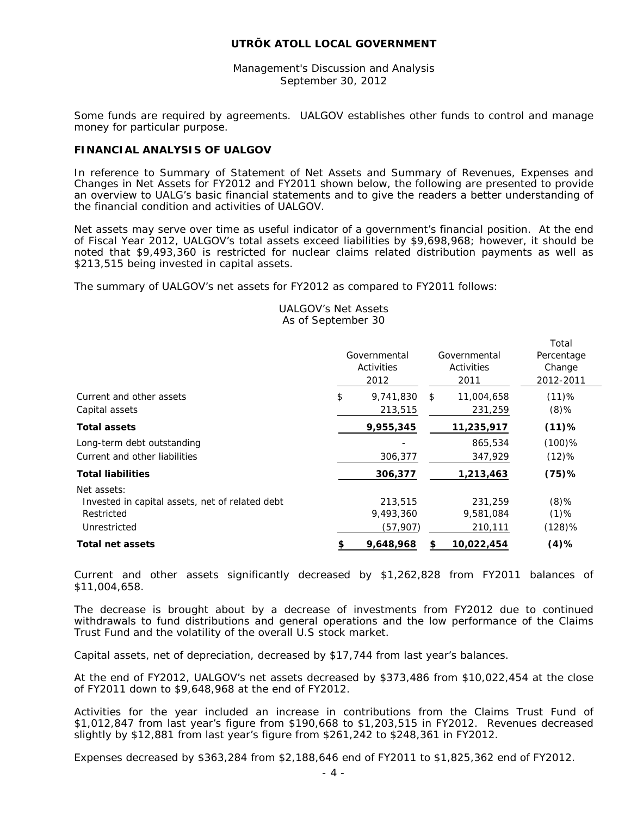Management's Discussion and Analysis September 30, 2012

Some funds are required by agreements. UALGOV establishes other funds to control and manage money for particular purpose.

# **FINANCIAL ANALYSIS OF UALGOV**

In reference to Summary of Statement of Net Assets and Summary of Revenues, Expenses and Changes in Net Assets for FY2012 and FY2011 shown below, the following are presented to provide an overview to UALG's basic financial statements and to give the readers a better understanding of the financial condition and activities of UALGOV.

Net assets may serve over time as useful indicator of a government's financial position. At the end of Fiscal Year 2012, UALGOV's total assets exceed liabilities by \$9,698,968; however, it should be noted that \$9,493,360 is restricted for nuclear claims related distribution payments as well as \$213,515 being invested in capital assets.

The summary of UALGOV's net assets for FY2012 as compared to FY2011 follows:

|                                                 | Governmental<br>Activities<br>2012 | Governmental<br>Activities<br>2011 | Total<br>Percentage<br>Change<br>2012-2011 |
|-------------------------------------------------|------------------------------------|------------------------------------|--------------------------------------------|
| Current and other assets                        | \$<br>9,741,830                    | \$<br>11,004,658                   | (11)%                                      |
| Capital assets                                  | 213,515                            | 231,259                            | $(8)$ %                                    |
| <b>Total assets</b>                             | 9,955,345                          | 11,235,917                         | $(11)$ %                                   |
| Long-term debt outstanding                      |                                    | 865,534                            | $(100)$ %                                  |
| Current and other liabilities                   | 306,377                            | 347,929                            | (12)%                                      |
| <b>Total liabilities</b>                        | 306,377                            | 1,213,463                          | $(75)$ %                                   |
| Net assets:                                     |                                    |                                    |                                            |
| Invested in capital assets, net of related debt | 213,515                            | 231.259                            | $(8)$ %                                    |
| Restricted                                      | 9,493,360                          | 9,581,084                          | $(1)$ %                                    |
| Unrestricted                                    | (57, 907)                          | 210,111                            | $(128)$ %                                  |
| Total net assets                                | 9,648,968                          | \$<br>10,022,454                   | $(4)$ %                                    |

UALGOV's Net Assets As of September 30

Current and other assets significantly decreased by \$1,262,828 from FY2011 balances of \$11,004,658.

The decrease is brought about by a decrease of investments from FY2012 due to continued withdrawals to fund distributions and general operations and the low performance of the Claims Trust Fund and the volatility of the overall U.S stock market.

Capital assets, net of depreciation, decreased by \$17,744 from last year's balances.

At the end of FY2012, UALGOV's net assets decreased by \$373,486 from \$10,022,454 at the close of FY2011 down to \$9,648,968 at the end of FY2012.

Activities for the year included an increase in contributions from the Claims Trust Fund of \$1,012,847 from last year's figure from \$190,668 to \$1,203,515 in FY2012. Revenues decreased slightly by \$12,881 from last year's figure from \$261,242 to \$248,361 in FY2012.

Expenses decreased by \$363,284 from \$2,188,646 end of FY2011 to \$1,825,362 end of FY2012.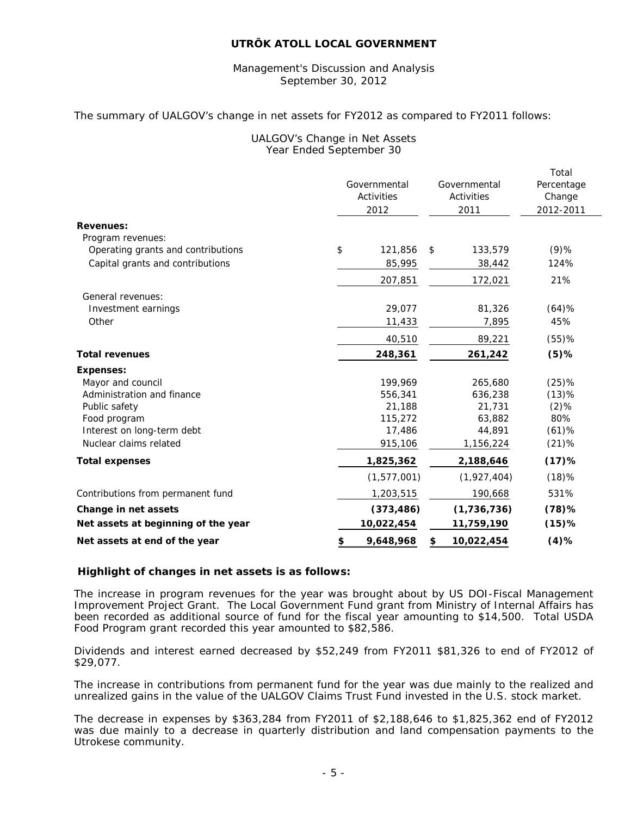# Management's Discussion and Analysis September 30, 2012

# The summary of UALGOV's change in net assets for FY2012 as compared to FY2011 follows:

# UALGOV's Change in Net Assets Year Ended September 30

| <b>Revenues:</b>                    | Governmental<br>Activities<br>2012 | Governmental<br>Activities<br>2011 | Total<br>Percentage<br>Change<br>2012-2011 |
|-------------------------------------|------------------------------------|------------------------------------|--------------------------------------------|
| Program revenues:                   |                                    |                                    |                                            |
| Operating grants and contributions  | \$<br>121,856                      | 133,579<br>\$                      | $(9)$ %                                    |
| Capital grants and contributions    | 85,995                             | 38,442                             | 124%                                       |
|                                     | 207,851                            | 172,021                            | 21%                                        |
| General revenues:                   |                                    |                                    |                                            |
| Investment earnings                 | 29,077                             | 81,326                             | $(64)$ %                                   |
| Other                               | 11,433                             | 7,895                              | 45%                                        |
|                                     | 40,510                             | 89,221                             | $(55)$ %                                   |
| <b>Total revenues</b>               | 248,361                            | 261,242                            | $(5)$ %                                    |
| <b>Expenses:</b>                    |                                    |                                    |                                            |
| Mayor and council                   | 199,969                            | 265,680                            | $(25)$ %                                   |
| Administration and finance          | 556,341                            | 636,238                            | $(13)$ %                                   |
| Public safety                       | 21,188                             | 21,731                             | $(2)$ %                                    |
| Food program                        | 115,272                            | 63,882                             | 80%                                        |
| Interest on long-term debt          | 17,486                             | 44,891                             | $(61)$ %                                   |
| Nuclear claims related              | 915,106                            | 1,156,224                          | $(21)$ %                                   |
| <b>Total expenses</b>               | 1,825,362                          | 2,188,646                          | $(17)$ %                                   |
|                                     | (1, 577, 001)                      | (1,927,404)                        | (18)%                                      |
| Contributions from permanent fund   | 1,203,515                          | 190,668                            | 531%                                       |
| Change in net assets                | (373, 486)                         | (1,736,736)                        | $(78)$ %                                   |
| Net assets at beginning of the year | 10,022,454                         | 11,759,190                         | $(15)$ %                                   |
| Net assets at end of the year       | \$<br>9,648,968                    | \$<br>10,022,454                   | $(4)$ %                                    |

#### **Highlight of changes in net assets is as follows:**

The increase in program revenues for the year was brought about by US DOI-Fiscal Management Improvement Project Grant. The Local Government Fund grant from Ministry of Internal Affairs has been recorded as additional source of fund for the fiscal year amounting to \$14,500. Total USDA Food Program grant recorded this year amounted to \$82,586.

Dividends and interest earned decreased by \$52,249 from FY2011 \$81,326 to end of FY2012 of \$29,077.

The increase in contributions from permanent fund for the year was due mainly to the realized and unrealized gains in the value of the UALGOV Claims Trust Fund invested in the U.S. stock market.

The decrease in expenses by \$363,284 from FY2011 of \$2,188,646 to \$1,825,362 end of FY2012 was due mainly to a decrease in quarterly distribution and land compensation payments to the Utrokese community.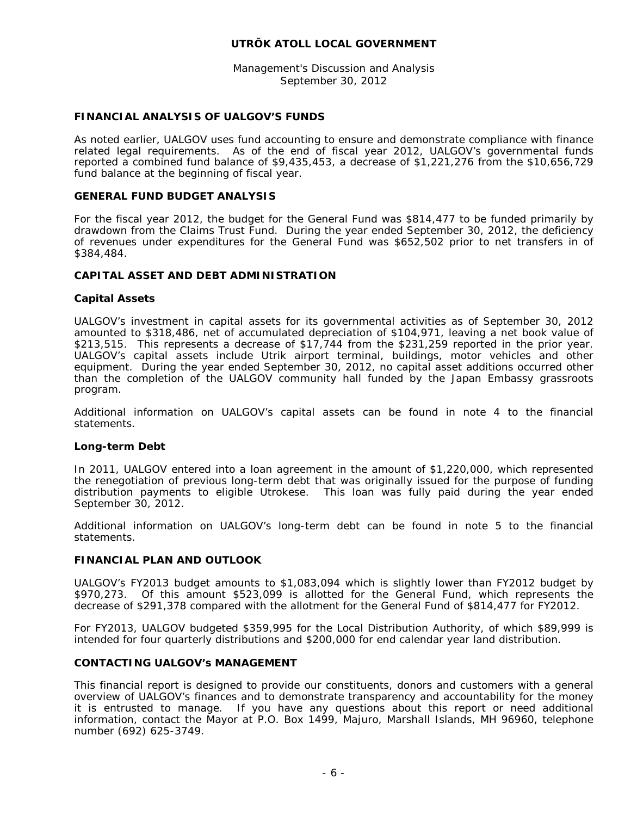Management's Discussion and Analysis September 30, 2012

# **FINANCIAL ANALYSIS OF UALGOV'S FUNDS**

As noted earlier, UALGOV uses fund accounting to ensure and demonstrate compliance with finance related legal requirements. As of the end of fiscal year 2012, UALGOV's governmental funds reported a combined fund balance of \$9,435,453, a decrease of \$1,221,276 from the \$10,656,729 fund balance at the beginning of fiscal year.

#### **GENERAL FUND BUDGET ANALYSIS**

For the fiscal year 2012, the budget for the General Fund was \$814,477 to be funded primarily by drawdown from the Claims Trust Fund. During the year ended September 30, 2012, the deficiency of revenues under expenditures for the General Fund was \$652,502 prior to net transfers in of \$384,484.

#### **CAPITAL ASSET AND DEBT ADMINISTRATION**

#### **Capital Assets**

UALGOV's investment in capital assets for its governmental activities as of September 30, 2012 amounted to \$318,486, net of accumulated depreciation of \$104,971, leaving a net book value of \$213,515. This represents a decrease of \$17,744 from the \$231,259 reported in the prior year. UALGOV's capital assets include Utrik airport terminal, buildings, motor vehicles and other equipment. During the year ended September 30, 2012, no capital asset additions occurred other than the completion of the UALGOV community hall funded by the Japan Embassy grassroots program.

Additional information on UALGOV's capital assets can be found in note 4 to the financial statements.

#### **Long-term Debt**

In 2011, UALGOV entered into a loan agreement in the amount of \$1,220,000, which represented the renegotiation of previous long-term debt that was originally issued for the purpose of funding distribution payments to eligible Utrokese. This loan was fully paid during the year ended September 30, 2012.

Additional information on UALGOV's long-term debt can be found in note 5 to the financial statements.

# **FINANCIAL PLAN AND OUTLOOK**

UALGOV's FY2013 budget amounts to \$1,083,094 which is slightly lower than FY2012 budget by \$970,273. Of this amount \$523,099 is allotted for the General Fund, which represents the decrease of \$291,378 compared with the allotment for the General Fund of \$814,477 for FY2012.

For FY2013, UALGOV budgeted \$359,995 for the Local Distribution Authority, of which \$89,999 is intended for four quarterly distributions and \$200,000 for end calendar year land distribution.

# **CONTACTING UALGOV's MANAGEMENT**

This financial report is designed to provide our constituents, donors and customers with a general overview of UALGOV's finances and to demonstrate transparency and accountability for the money it is entrusted to manage. If you have any questions about this report or need additional information, contact the Mayor at P.O. Box 1499, Majuro, Marshall Islands, MH 96960, telephone number (692) 625-3749.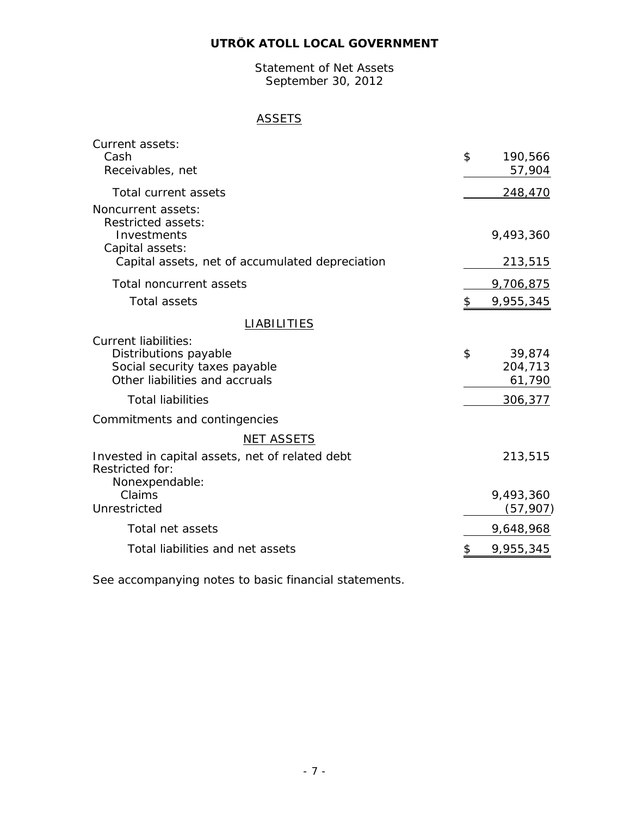Statement of Net Assets September 30, 2012

# ASSETS

| Current assets:<br>Cash                                            | \$<br>190,566          |
|--------------------------------------------------------------------|------------------------|
| Receivables, net                                                   | 57,904                 |
| Total current assets                                               | 248,470                |
| Noncurrent assets:                                                 |                        |
| Restricted assets:                                                 |                        |
| Investments<br>Capital assets:                                     | 9,493,360              |
| Capital assets, net of accumulated depreciation                    | 213,515                |
| <b>Total noncurrent assets</b>                                     | 9,706,875              |
| <b>Total assets</b>                                                | \$<br>9,955,345        |
| <b>LIABILITIES</b>                                                 |                        |
| <b>Current liabilities:</b>                                        |                        |
| Distributions payable                                              | \$<br>39,874           |
| Social security taxes payable<br>Other liabilities and accruals    | 204,713<br>61,790      |
|                                                                    |                        |
| <b>Total liabilities</b>                                           | 306,377                |
| Commitments and contingencies                                      |                        |
| <b>NET ASSETS</b>                                                  |                        |
| Invested in capital assets, net of related debt<br>Restricted for: | 213,515                |
| Nonexpendable:                                                     |                        |
| Claims<br>Unrestricted                                             | 9,493,360<br>(57, 907) |
|                                                                    |                        |
| Total net assets                                                   | 9,648,968              |
| Total liabilities and net assets                                   | \$<br>9,955,345        |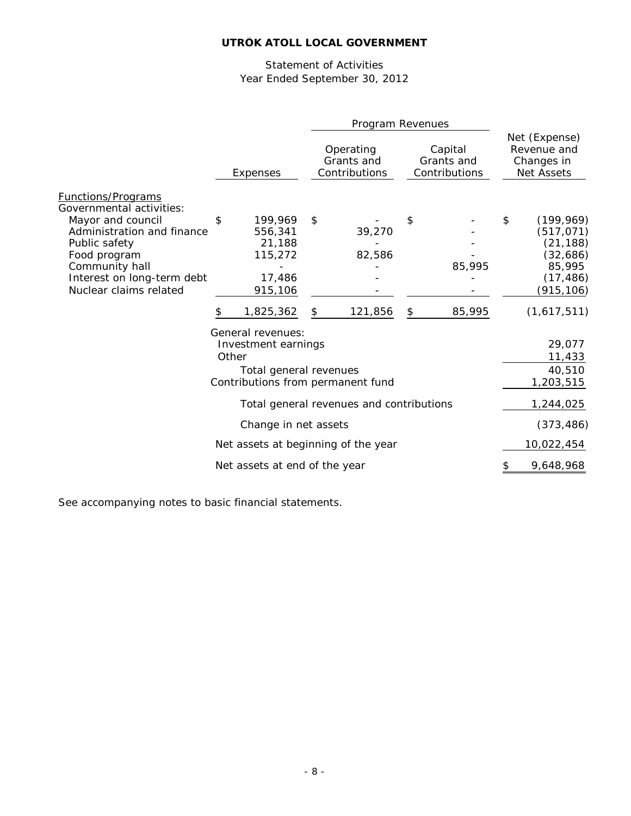# Statement of Activities Year Ended September 30, 2012

|                                                                                                                                                                                                                     | Program Revenues                                                                                                 |                                                              |    |                                          |    |                                        |    |                                                                                       |
|---------------------------------------------------------------------------------------------------------------------------------------------------------------------------------------------------------------------|------------------------------------------------------------------------------------------------------------------|--------------------------------------------------------------|----|------------------------------------------|----|----------------------------------------|----|---------------------------------------------------------------------------------------|
|                                                                                                                                                                                                                     | Expenses                                                                                                         |                                                              |    | Operating<br>Grants and<br>Contributions |    | Capital<br>Grants and<br>Contributions |    | Net (Expense)<br>Revenue and<br>Changes in<br>Net Assets                              |
| <b>Functions/Programs</b><br>Governmental activities:<br>Mayor and council<br>Administration and finance<br>Public safety<br>Food program<br>Community hall<br>Interest on long-term debt<br>Nuclear claims related | \$                                                                                                               | 199,969<br>556,341<br>21,188<br>115,272<br>17,486<br>915,106 | \$ | 39,270<br>82,586                         | \$ | 85,995                                 | \$ | (199, 969)<br>(517, 071)<br>(21, 188)<br>(32,686)<br>85,995<br>(17, 486)<br>(915,106) |
|                                                                                                                                                                                                                     |                                                                                                                  | 1,825,362                                                    | \$ | 121,856                                  | \$ | 85,995                                 |    | (1,617,511)                                                                           |
|                                                                                                                                                                                                                     | General revenues:<br>Investment earnings<br>Other<br>Total general revenues<br>Contributions from permanent fund |                                                              |    |                                          |    |                                        |    | 29,077<br>11,433<br>40,510<br>1,203,515                                               |
|                                                                                                                                                                                                                     |                                                                                                                  |                                                              |    | Total general revenues and contributions |    |                                        |    | 1,244,025                                                                             |
|                                                                                                                                                                                                                     | Change in net assets                                                                                             |                                                              |    |                                          |    |                                        |    | (373, 486)                                                                            |
|                                                                                                                                                                                                                     |                                                                                                                  | Net assets at beginning of the year                          |    |                                          |    |                                        |    | 10,022,454                                                                            |
|                                                                                                                                                                                                                     |                                                                                                                  | Net assets at end of the year                                |    |                                          |    |                                        |    | 9,648,968                                                                             |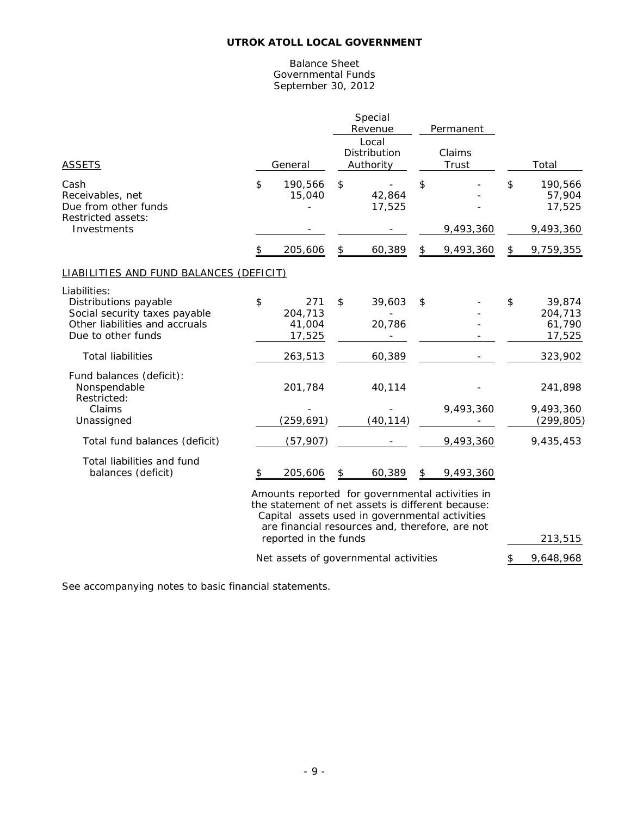#### Balance Sheet Governmental Funds September 30, 2012

|                                                                                                                                |                           |                                                                                                                                                                                                           | Special<br>Revenue<br>Local<br>Distribution |                | Permanent<br>Claims |                                             |
|--------------------------------------------------------------------------------------------------------------------------------|---------------------------|-----------------------------------------------------------------------------------------------------------------------------------------------------------------------------------------------------------|---------------------------------------------|----------------|---------------------|---------------------------------------------|
| <b>ASSETS</b>                                                                                                                  |                           | General                                                                                                                                                                                                   | Authority                                   |                | Trust               | Total                                       |
| Cash<br>Receivables, net<br>Due from other funds<br>Restricted assets:                                                         | $\boldsymbol{\mathsf{S}}$ | 190,566<br>15,040                                                                                                                                                                                         | \$<br>42,864<br>17,525                      | $\mathfrak{L}$ |                     | \$<br>190,566<br>57,904<br>17,525           |
| Investments                                                                                                                    |                           |                                                                                                                                                                                                           |                                             |                | 9,493,360           | 9,493,360                                   |
|                                                                                                                                | \$                        | 205,606                                                                                                                                                                                                   | \$<br>60,389                                | \$             | 9,493,360           | \$<br>9,759,355                             |
| LIABILITIES AND FUND BALANCES (DEFICIT)                                                                                        |                           |                                                                                                                                                                                                           |                                             |                |                     |                                             |
| Liabilities:<br>Distributions payable<br>Social security taxes payable<br>Other liabilities and accruals<br>Due to other funds | \$                        | 271<br>204,713<br>41,004<br>17,525                                                                                                                                                                        | \$<br>39,603<br>20,786                      | $\mathfrak{L}$ |                     | \$<br>39,874<br>204,713<br>61,790<br>17,525 |
| <b>Total liabilities</b>                                                                                                       |                           | 263,513                                                                                                                                                                                                   | 60,389                                      |                |                     | 323,902                                     |
| Fund balances (deficit):<br>Nonspendable<br>Restricted:                                                                        |                           | 201,784                                                                                                                                                                                                   | 40,114                                      |                |                     | 241,898                                     |
| Claims<br>Unassigned                                                                                                           |                           | (259, 691)                                                                                                                                                                                                | (40, 114)                                   |                | 9,493,360           | 9,493,360<br>(299, 805)                     |
| Total fund balances (deficit)                                                                                                  |                           | (57, 907)                                                                                                                                                                                                 |                                             |                | 9,493,360           | 9,435,453                                   |
| Total liabilities and fund<br>balances (deficit)                                                                               | \$                        | 205,606                                                                                                                                                                                                   | \$<br>60,389                                | \$             | 9,493,360           |                                             |
|                                                                                                                                |                           | Amounts reported for governmental activities in<br>the statement of net assets is different because:<br>Capital assets used in governmental activities<br>are financial resources and, therefore, are not |                                             |                |                     |                                             |

reported in the funds and the second series of the series of the series of the series of the series of the series of the series of the series of the series of the series of the series of the series of the series of the ser

Net assets of governmental activities  $$ 9,648,968$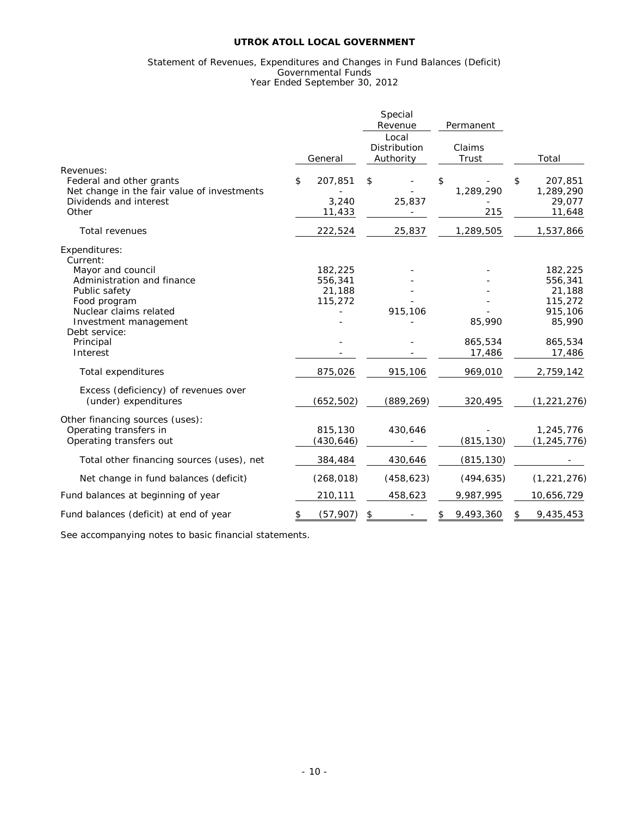#### Statement of Revenues, Expenditures and Changes in Fund Balances (Deficit) Governmental Funds Year Ended September 30, 2012

|                                                                                                                         |                                  | Special<br>Revenue<br>Local | Permanent              |                                                   |
|-------------------------------------------------------------------------------------------------------------------------|----------------------------------|-----------------------------|------------------------|---------------------------------------------------|
|                                                                                                                         | General                          | Distribution<br>Authority   | Claims<br>Trust        | Total                                             |
| Revenues:<br>Federal and other grants<br>Net change in the fair value of investments<br>Dividends and interest<br>Other | \$<br>207,851<br>3,240<br>11,433 | \$<br>25,837                | \$<br>1,289,290<br>215 | \$<br>207,851<br>1,289,290<br>29,077<br>11,648    |
| Total revenues                                                                                                          | 222,524                          | 25,837                      | 1,289,505              | 1,537,866                                         |
| Expenditures:<br>Current:<br>Mayor and council                                                                          | 182,225                          |                             |                        | 182,225                                           |
| Administration and finance<br>Public safety<br>Food program<br>Nuclear claims related<br>Investment management          | 556,341<br>21,188<br>115,272     | 915,106                     | 85,990                 | 556,341<br>21,188<br>115,272<br>915,106<br>85,990 |
| Debt service:<br>Principal<br>Interest                                                                                  |                                  |                             | 865,534<br>17,486      | 865,534<br>17,486                                 |
| Total expenditures                                                                                                      | 875,026                          | 915,106                     | 969,010                | 2,759,142                                         |
| Excess (deficiency) of revenues over<br>(under) expenditures                                                            | (652, 502)                       | (889, 269)                  | 320,495                | (1, 221, 276)                                     |
| Other financing sources (uses):<br>Operating transfers in<br>Operating transfers out                                    | 815,130<br>(430,646)             | 430,646                     | (815, 130)             | 1,245,776<br>(1, 245, 776)                        |
| Total other financing sources (uses), net                                                                               | 384,484                          | 430,646                     | (815, 130)             |                                                   |
| Net change in fund balances (deficit)                                                                                   | (268, 018)                       | (458, 623)                  | (494, 635)             | (1, 221, 276)                                     |
| Fund balances at beginning of year                                                                                      | 210,111                          | 458,623                     | 9,987,995              | 10,656,729                                        |
| Fund balances (deficit) at end of year                                                                                  | \$<br>(57, 907)                  | \$                          | \$<br>9,493,360        | \$<br>9,435,453                                   |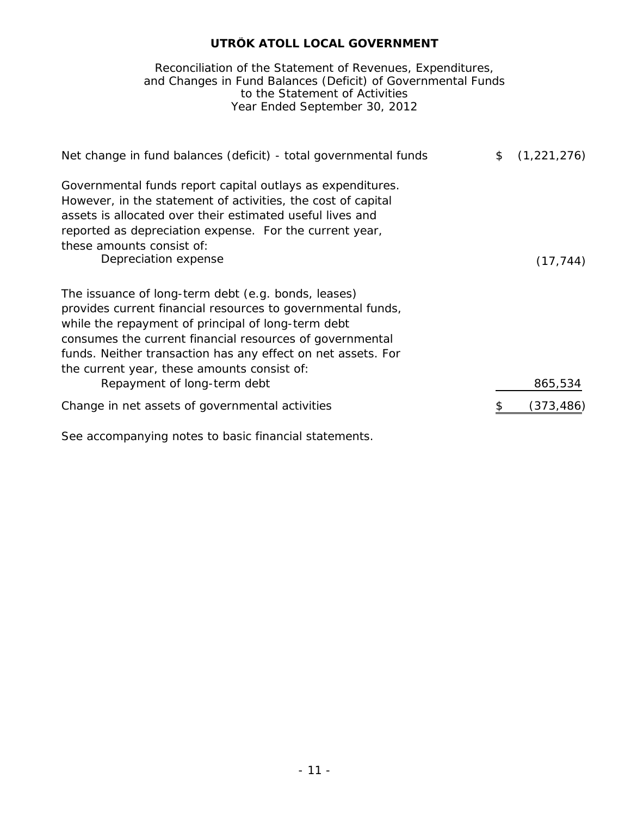# to the Statement of Activities Year Ended September 30, 2012 Reconciliation of the Statement of Revenues, Expenditures, and Changes in Fund Balances (Deficit) of Governmental Funds

| Net change in fund balances (deficit) - total governmental funds                                                                                                                                                                                                                                                                                                                   | \$<br>(1, 221, 276) |
|------------------------------------------------------------------------------------------------------------------------------------------------------------------------------------------------------------------------------------------------------------------------------------------------------------------------------------------------------------------------------------|---------------------|
| Governmental funds report capital outlays as expenditures.<br>However, in the statement of activities, the cost of capital<br>assets is allocated over their estimated useful lives and<br>reported as depreciation expense. For the current year,<br>these amounts consist of:<br>Depreciation expense                                                                            | (17, 744)           |
| The issuance of long-term debt (e.g. bonds, leases)<br>provides current financial resources to governmental funds,<br>while the repayment of principal of long-term debt<br>consumes the current financial resources of governmental<br>funds. Neither transaction has any effect on net assets. For<br>the current year, these amounts consist of:<br>Repayment of long-term debt | 865,534             |
| Change in net assets of governmental activities                                                                                                                                                                                                                                                                                                                                    | (373,486)           |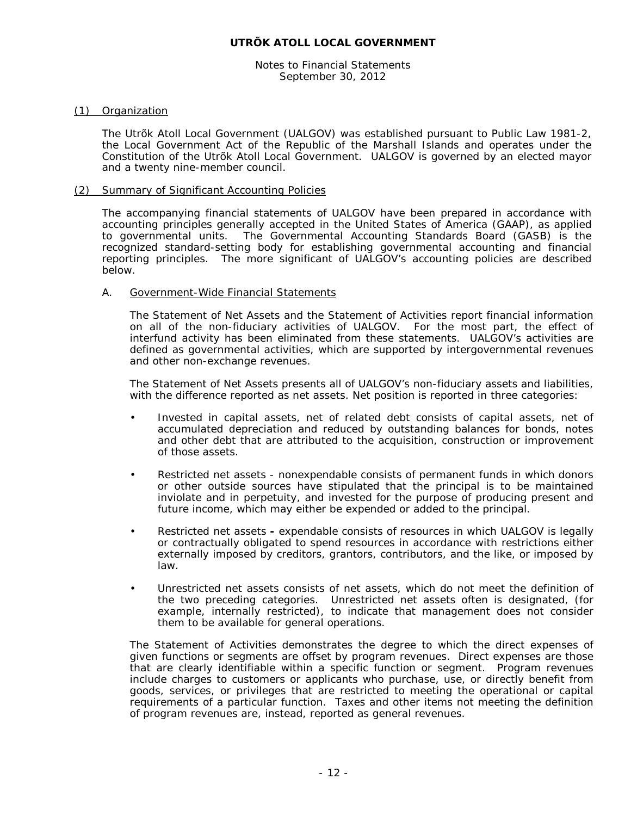Notes to Financial Statements September 30, 2012

#### (1) Organization

The Utrõk Atoll Local Government (UALGOV) was established pursuant to Public Law 1981-2, the Local Government Act of the Republic of the Marshall Islands and operates under the Constitution of the Utrõk Atoll Local Government. UALGOV is governed by an elected mayor and a twenty nine-member council.

#### (2) Summary of Significant Accounting Policies

The accompanying financial statements of UALGOV have been prepared in accordance with accounting principles generally accepted in the United States of America (GAAP), as applied to governmental units. The Governmental Accounting Standards Board (GASB) is the The Governmental Accounting Standards Board (GASB) is the recognized standard-setting body for establishing governmental accounting and financial reporting principles. The more significant of UALGOV's accounting policies are described below.

#### A. Government-Wide Financial Statements

The Statement of Net Assets and the Statement of Activities report financial information on all of the non-fiduciary activities of UALGOV. For the most part, the effect of interfund activity has been eliminated from these statements. UALGOV's activities are defined as governmental activities, which are supported by intergovernmental revenues and other non-exchange revenues.

The Statement of Net Assets presents all of UALGOV's non-fiduciary assets and liabilities, with the difference reported as net assets. Net position is reported in three categories:

- Invested in capital assets, net of related debt consists of capital assets, net of accumulated depreciation and reduced by outstanding balances for bonds, notes and other debt that are attributed to the acquisition, construction or improvement of those assets.
- Restricted net assets nonexpendable consists of permanent funds in which donors or other outside sources have stipulated that the principal is to be maintained inviolate and in perpetuity, and invested for the purpose of producing present and future income, which may either be expended or added to the principal.
- Restricted net assets **-** expendable consists of resources in which UALGOV is legally or contractually obligated to spend resources in accordance with restrictions either externally imposed by creditors, grantors, contributors, and the like, or imposed by law.
- Unrestricted net assets consists of net assets, which do not meet the definition of the two preceding categories. Unrestricted net assets often is designated, (for example, internally restricted), to indicate that management does not consider them to be available for general operations.

The Statement of Activities demonstrates the degree to which the direct expenses of given functions or segments are offset by program revenues. Direct expenses are those that are clearly identifiable within a specific function or segment. Program revenues include charges to customers or applicants who purchase, use, or directly benefit from goods, services, or privileges that are restricted to meeting the operational or capital requirements of a particular function. Taxes and other items not meeting the definition of program revenues are, instead, reported as general revenues.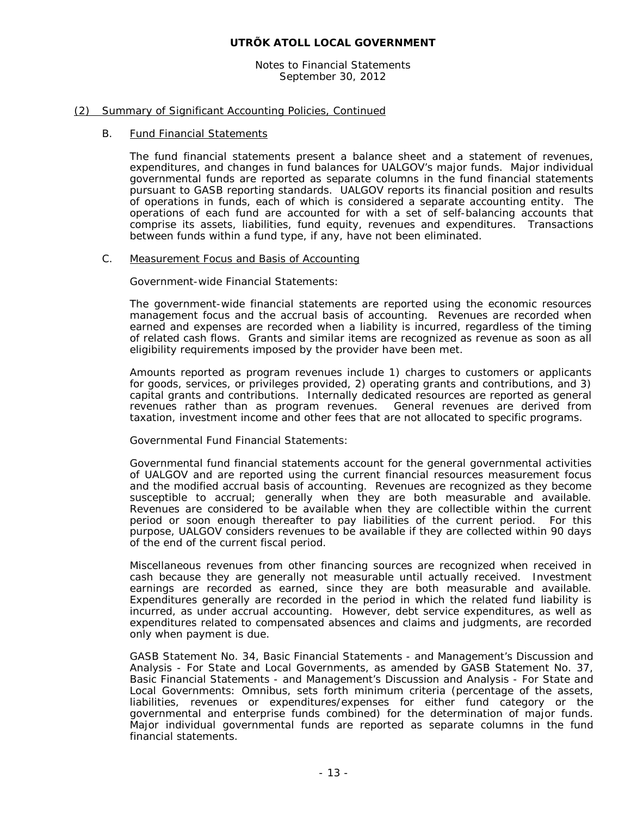Notes to Financial Statements September 30, 2012

#### (2) Summary of Significant Accounting Policies, Continued

#### B. Fund Financial Statements

The fund financial statements present a balance sheet and a statement of revenues, expenditures, and changes in fund balances for UALGOV's major funds. Major individual governmental funds are reported as separate columns in the fund financial statements pursuant to GASB reporting standards. UALGOV reports its financial position and results of operations in funds, each of which is considered a separate accounting entity. The operations of each fund are accounted for with a set of self-balancing accounts that comprise its assets, liabilities, fund equity, revenues and expenditures. Transactions between funds within a fund type, if any, have not been eliminated.

#### C. Measurement Focus and Basis of Accounting

Government-wide Financial Statements:

The government-wide financial statements are reported using the economic resources management focus and the accrual basis of accounting. Revenues are recorded when earned and expenses are recorded when a liability is incurred, regardless of the timing of related cash flows. Grants and similar items are recognized as revenue as soon as all eligibility requirements imposed by the provider have been met.

Amounts reported as program revenues include 1) charges to customers or applicants for goods, services, or privileges provided, 2) operating grants and contributions, and 3) capital grants and contributions. Internally dedicated resources are reported as general revenues rather than as program revenues. General revenues are derived from taxation, investment income and other fees that are not allocated to specific programs.

Governmental Fund Financial Statements:

Governmental fund financial statements account for the general governmental activities of UALGOV and are reported using the current financial resources measurement focus and the modified accrual basis of accounting. Revenues are recognized as they become susceptible to accrual; generally when they are both measurable and available. Revenues are considered to be available when they are collectible within the current period or soon enough thereafter to pay liabilities of the current period. For this purpose, UALGOV considers revenues to be available if they are collected within 90 days of the end of the current fiscal period.

Miscellaneous revenues from other financing sources are recognized when received in cash because they are generally not measurable until actually received. Investment earnings are recorded as earned, since they are both measurable and available. Expenditures generally are recorded in the period in which the related fund liability is incurred, as under accrual accounting. However, debt service expenditures, as well as expenditures related to compensated absences and claims and judgments, are recorded only when payment is due.

GASB Statement No. 34, *Basic Financial Statements - and Management's Discussion and Analysis - For State and Local Governments*, as amended by GASB Statement No. 37, *Basic Financial Statements - and Management's Discussion and Analysis - For State and Local Governments*: *Omnibus*, sets forth minimum criteria (percentage of the assets, liabilities, revenues or expenditures/expenses for either fund category or the governmental and enterprise funds combined) for the determination of major funds. Major individual governmental funds are reported as separate columns in the fund financial statements.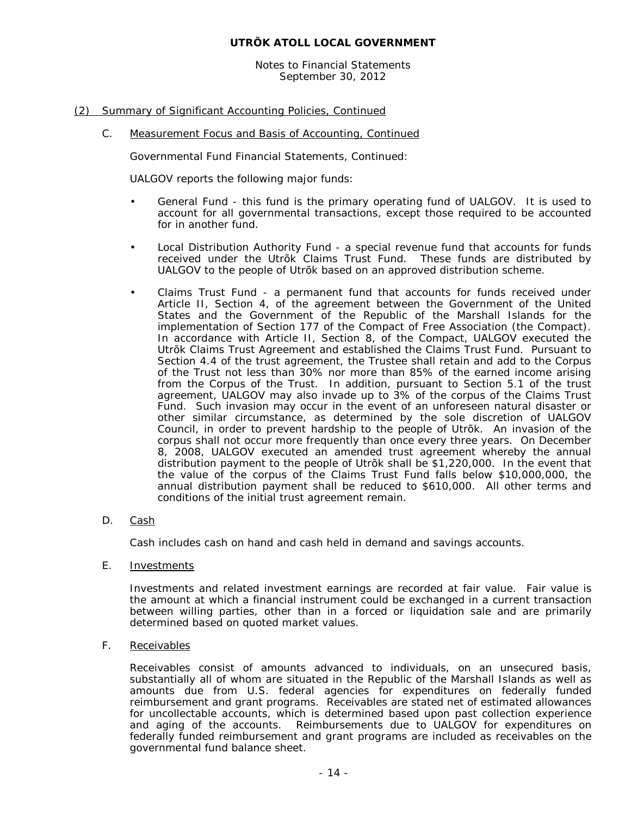Notes to Financial Statements September 30, 2012

# (2) Summary of Significant Accounting Policies, Continued

C. Measurement Focus and Basis of Accounting, Continued

Governmental Fund Financial Statements, Continued:

UALGOV reports the following major funds:

- General Fund this fund is the primary operating fund of UALGOV. It is used to account for all governmental transactions, except those required to be accounted for in another fund.
- Local Distribution Authority Fund a special revenue fund that accounts for funds received under the Utrõk Claims Trust Fund. These funds are distributed by UALGOV to the people of Utrõk based on an approved distribution scheme.
- Claims Trust Fund a permanent fund that accounts for funds received under Article II, Section 4, of the agreement between the Government of the United States and the Government of the Republic of the Marshall Islands for the implementation of Section 177 of the Compact of Free Association (the Compact). In accordance with Article II, Section 8, of the Compact, UALGOV executed the Utrõk Claims Trust Agreement and established the Claims Trust Fund. Pursuant to Section 4.4 of the trust agreement, the Trustee shall retain and add to the Corpus of the Trust not less than 30% nor more than 85% of the earned income arising from the Corpus of the Trust. In addition, pursuant to Section 5.1 of the trust agreement, UALGOV may also invade up to 3% of the corpus of the Claims Trust Fund. Such invasion may occur in the event of an unforeseen natural disaster or other similar circumstance, as determined by the sole discretion of UALGOV Council, in order to prevent hardship to the people of Utrõk. An invasion of the corpus shall not occur more frequently than once every three years. On December 8, 2008, UALGOV executed an amended trust agreement whereby the annual distribution payment to the people of Utrõk shall be \$1,220,000. In the event that the value of the corpus of the Claims Trust Fund falls below \$10,000,000, the annual distribution payment shall be reduced to \$610,000. All other terms and conditions of the initial trust agreement remain.
- D. Cash

Cash includes cash on hand and cash held in demand and savings accounts.

E. Investments

Investments and related investment earnings are recorded at fair value. Fair value is the amount at which a financial instrument could be exchanged in a current transaction between willing parties, other than in a forced or liquidation sale and are primarily determined based on quoted market values.

F. Receivables

Receivables consist of amounts advanced to individuals, on an unsecured basis, substantially all of whom are situated in the Republic of the Marshall Islands as well as amounts due from U.S. federal agencies for expenditures on federally funded reimbursement and grant programs. Receivables are stated net of estimated allowances for uncollectable accounts, which is determined based upon past collection experience and aging of the accounts. Reimbursements due to UALGOV for expenditures on federally funded reimbursement and grant programs are included as receivables on the governmental fund balance sheet.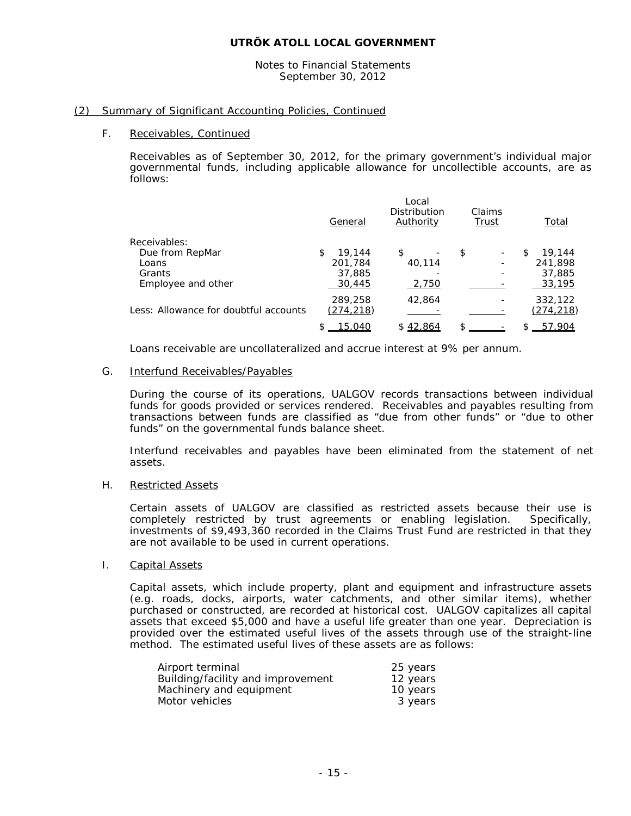Notes to Financial Statements September 30, 2012

#### (2) Summary of Significant Accounting Policies, Continued

#### F. Receivables, Continued

Receivables as of September 30, 2012, for the primary government's individual major governmental funds, including applicable allowance for uncollectible accounts, are as follows:

|                                       | General      | Local<br>Distribution<br>Authority | Claims<br>Trust                | Total        |
|---------------------------------------|--------------|------------------------------------|--------------------------------|--------------|
| Receivables:                          |              |                                    |                                |              |
| Due from RepMar                       | 19,144<br>\$ | \$                                 | \$<br>$\overline{\phantom{a}}$ | 19,144<br>\$ |
| Loans                                 | 201,784      | 40,114                             |                                | 241,898      |
| Grants                                | 37,885       |                                    |                                | 37,885       |
| Employee and other                    | 30,445       | 2,750                              |                                | 33,195       |
|                                       | 289,258      | 42,864                             |                                | 332,122      |
| Less: Allowance for doubtful accounts | (274, 218)   |                                    |                                | (274, 218)   |
|                                       | 15,040       | \$42,864                           | \$                             | 57,904       |

Loans receivable are uncollateralized and accrue interest at 9% per annum.

#### G. Interfund Receivables/Payables

During the course of its operations, UALGOV records transactions between individual funds for goods provided or services rendered. Receivables and payables resulting from transactions between funds are classified as "due from other funds" or "due to other funds" on the governmental funds balance sheet.

Interfund receivables and payables have been eliminated from the statement of net assets.

#### H. Restricted Assets

Certain assets of UALGOV are classified as restricted assets because their use is completely restricted by trust agreements or enabling legislation. Specifically, investments of \$9,493,360 recorded in the Claims Trust Fund are restricted in that they are not available to be used in current operations.

#### I. Capital Assets

Capital assets, which include property, plant and equipment and infrastructure assets (e.g. roads, docks, airports, water catchments, and other similar items), whether purchased or constructed, are recorded at historical cost. UALGOV capitalizes all capital assets that exceed \$5,000 and have a useful life greater than one year. Depreciation is provided over the estimated useful lives of the assets through use of the straight-line method. The estimated useful lives of these assets are as follows:

| Airport terminal                  | 25 years |
|-----------------------------------|----------|
| Building/facility and improvement | 12 years |
| Machinery and equipment           | 10 years |
| Motor vehicles                    | 3 years  |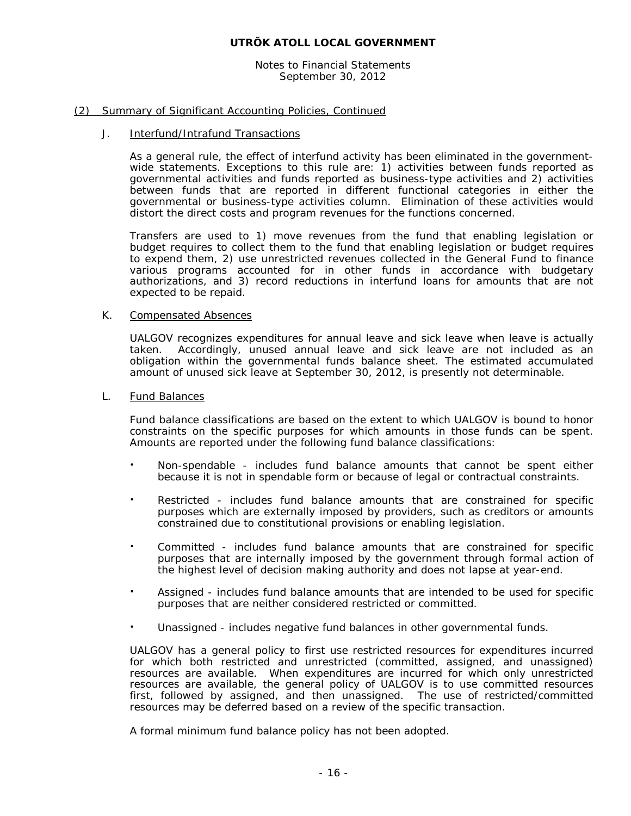Notes to Financial Statements September 30, 2012

#### (2) Summary of Significant Accounting Policies, Continued

#### J. Interfund/Intrafund Transactions

As a general rule, the effect of interfund activity has been eliminated in the governmentwide statements. Exceptions to this rule are: 1) activities between funds reported as governmental activities and funds reported as business-type activities and 2) activities between funds that are reported in different functional categories in either the governmental or business-type activities column. Elimination of these activities would distort the direct costs and program revenues for the functions concerned.

Transfers are used to 1) move revenues from the fund that enabling legislation or budget requires to collect them to the fund that enabling legislation or budget requires to expend them, 2) use unrestricted revenues collected in the General Fund to finance various programs accounted for in other funds in accordance with budgetary authorizations, and 3) record reductions in interfund loans for amounts that are not expected to be repaid.

#### K. Compensated Absences

UALGOV recognizes expenditures for annual leave and sick leave when leave is actually taken. Accordingly, unused annual leave and sick leave are not included as an obligation within the governmental funds balance sheet. The estimated accumulated amount of unused sick leave at September 30, 2012, is presently not determinable.

# L. Fund Balances

Fund balance classifications are based on the extent to which UALGOV is bound to honor constraints on the specific purposes for which amounts in those funds can be spent. Amounts are reported under the following fund balance classifications:

- Non-spendable includes fund balance amounts that cannot be spent either because it is not in spendable form or because of legal or contractual constraints.
- Restricted includes fund balance amounts that are constrained for specific purposes which are externally imposed by providers, such as creditors or amounts constrained due to constitutional provisions or enabling legislation.
- Committed includes fund balance amounts that are constrained for specific purposes that are internally imposed by the government through formal action of the highest level of decision making authority and does not lapse at year-end.
- Assigned includes fund balance amounts that are intended to be used for specific purposes that are neither considered restricted or committed.
- Unassigned includes negative fund balances in other governmental funds.

UALGOV has a general policy to first use restricted resources for expenditures incurred for which both restricted and unrestricted (committed, assigned, and unassigned) resources are available. When expenditures are incurred for which only unrestricted resources are available, the general policy of UALGOV is to use committed resources first, followed by assigned, and then unassigned. The use of restricted/committed resources may be deferred based on a review of the specific transaction.

A formal minimum fund balance policy has not been adopted.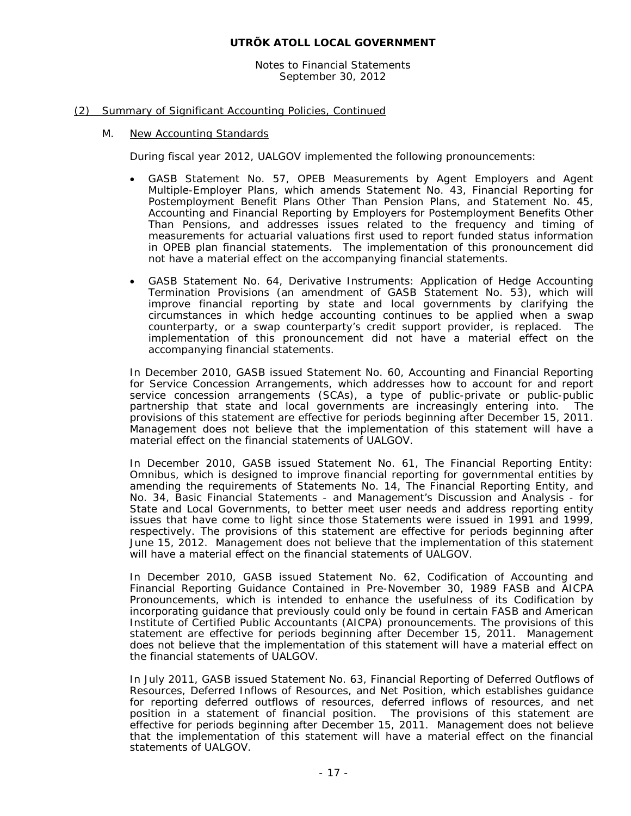Notes to Financial Statements September 30, 2012

#### (2) Summary of Significant Accounting Policies, Continued

#### M. New Accounting Standards

During fiscal year 2012, UALGOV implemented the following pronouncements:

- GASB Statement No. 57, *OPEB Measurements by Agent Employers and Agent Multiple-Employer Plans*, which amends Statement No. 43, *Financial Reporting for Postemployment Benefit Plans Other Than Pension Plans,* and Statement No. 45, *Accounting and Financial Reporting by Employers for Postemployment Benefits Other Than Pensions*, and addresses issues related to the frequency and timing of measurements for actuarial valuations first used to report funded status information in OPEB plan financial statements. The implementation of this pronouncement did not have a material effect on the accompanying financial statements.
- GASB Statement No. 64, *Derivative Instruments: Application of Hedge Accounting Termination Provisions* (an amendment of GASB Statement No. 53), which will improve financial reporting by state and local governments by clarifying the circumstances in which hedge accounting continues to be applied when a swap counterparty, or a swap counterparty's credit support provider, is replaced. The implementation of this pronouncement did not have a material effect on the accompanying financial statements.

In December 2010, GASB issued Statement No. 60, *Accounting and Financial Reporting for Service Concession Arrangements, which* addresses how to account for and report service concession arrangements (SCAs), a type of public-private or public-public partnership that state and local governments are increasingly entering into. The provisions of this statement are effective for periods beginning after December 15, 2011. Management does not believe that the implementation of this statement will have a material effect on the financial statements of UALGOV.

In December 2010, GASB issued Statement No. 61, *The Financial Reporting Entity: Omnibus, which* is designed to improve financial reporting for governmental entities by amending the requirements of Statements No. 14, *The Financial Reporting Entity, and No. 34, Basic Financial Statements - and Management's Discussion and Analysis - for State and Local Governments,* to better meet user needs and address reporting entity issues that have come to light since those Statements were issued in 1991 and 1999, respectively. The provisions of this statement are effective for periods beginning after June 15, 2012. Management does not believe that the implementation of this statement will have a material effect on the financial statements of UALGOV.

In December 2010, GASB issued Statement No. 62, *Codification of Accounting and Financial Reporting Guidance Contained in Pre-November 30, 1989 FASB and AICPA Pronouncements*, which is intended to enhance the usefulness of its Codification by incorporating guidance that previously could only be found in certain FASB and American Institute of Certified Public Accountants (AICPA) pronouncements. The provisions of this statement are effective for periods beginning after December 15, 2011. Management does not believe that the implementation of this statement will have a material effect on the financial statements of UALGOV.

In July 2011, GASB issued Statement No. 63, *Financial Reporting of Deferred Outflows of Resources, Deferred Inflows of Resources, and Net Position*, which establishes guidance for reporting deferred outflows of resources, deferred inflows of resources, and net position in a statement of financial position. The provisions of this statement are effective for periods beginning after December 15, 2011. Management does not believe that the implementation of this statement will have a material effect on the financial statements of UALGOV.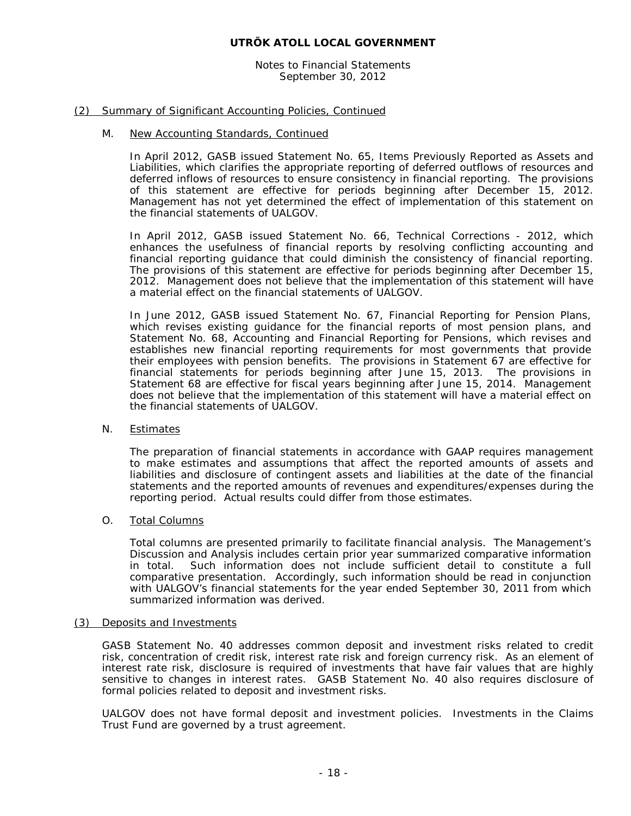Notes to Financial Statements September 30, 2012

#### (2) Summary of Significant Accounting Policies, Continued

#### M. New Accounting Standards, Continued

In April 2012, GASB issued Statement No. 65, *Items Previously Reported as Assets and Liabilities*, which clarifies the appropriate reporting of deferred outflows of resources and deferred inflows of resources to ensure consistency in financial reporting. The provisions of this statement are effective for periods beginning after December 15, 2012. Management has not yet determined the effect of implementation of this statement on the financial statements of UALGOV.

In April 2012, GASB issued Statement No. 66, *Technical Corrections - 2012*, which enhances the usefulness of financial reports by resolving conflicting accounting and financial reporting guidance that could diminish the consistency of financial reporting. The provisions of this statement are effective for periods beginning after December 15, 2012. Management does not believe that the implementation of this statement will have a material effect on the financial statements of UALGOV.

In June 2012, GASB issued Statement No. 67, *Financial Reporting for Pension Plans, which* revises existing guidance for the financial reports of most pension plans, *and Statement* No. 68, *Accounting and Financial Reporting for Pensions, which* revises and establishes new financial reporting requirements for most governments that provide their employees with pension benefits. The provisions in Statement 67 are effective for financial statements for periods beginning after June 15, 2013. The provisions in Statement 68 are effective for fiscal years beginning after June 15, 2014. Management does not believe that the implementation of this statement will have a material effect on the financial statements of UALGOV.

N. Estimates

The preparation of financial statements in accordance with GAAP requires management to make estimates and assumptions that affect the reported amounts of assets and liabilities and disclosure of contingent assets and liabilities at the date of the financial statements and the reported amounts of revenues and expenditures/expenses during the reporting period. Actual results could differ from those estimates.

#### O. Total Columns

Total columns are presented primarily to facilitate financial analysis. The Management's Discussion and Analysis includes certain prior year summarized comparative information Such information does not include sufficient detail to constitute a full comparative presentation. Accordingly, such information should be read in conjunction with UALGOV's financial statements for the year ended September 30, 2011 from which summarized information was derived.

#### (3) Deposits and Investments

GASB Statement No. 40 addresses common deposit and investment risks related to credit risk, concentration of credit risk, interest rate risk and foreign currency risk. As an element of interest rate risk, disclosure is required of investments that have fair values that are highly sensitive to changes in interest rates. GASB Statement No. 40 also requires disclosure of formal policies related to deposit and investment risks.

UALGOV does not have formal deposit and investment policies. Investments in the Claims Trust Fund are governed by a trust agreement.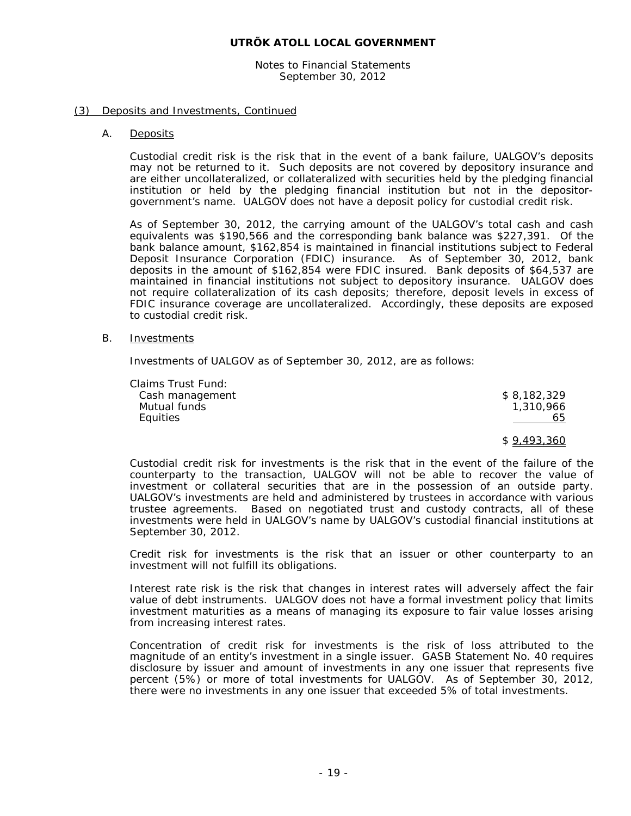Notes to Financial Statements September 30, 2012

#### (3) Deposits and Investments, Continued

#### A. Deposits

Custodial credit risk is the risk that in the event of a bank failure, UALGOV's deposits may not be returned to it. Such deposits are not covered by depository insurance and are either uncollateralized, or collateralized with securities held by the pledging financial institution or held by the pledging financial institution but not in the depositorgovernment's name. UALGOV does not have a deposit policy for custodial credit risk.

As of September 30, 2012, the carrying amount of the UALGOV's total cash and cash equivalents was \$190,566 and the corresponding bank balance was \$227,391. Of the bank balance amount, \$162,854 is maintained in financial institutions subject to Federal Deposit Insurance Corporation (FDIC) insurance. As of September 30, 2012, bank deposits in the amount of \$162,854 were FDIC insured. Bank deposits of \$64,537 are maintained in financial institutions not subject to depository insurance. UALGOV does not require collateralization of its cash deposits; therefore, deposit levels in excess of FDIC insurance coverage are uncollateralized. Accordingly, these deposits are exposed to custodial credit risk.

#### B. Investments

Investments of UALGOV as of September 30, 2012, are as follows:

| Claims Trust Fund: |             |
|--------------------|-------------|
| Cash management    | \$8.182.329 |
| Mutual funds       | 1,310,966   |
| Equities           | 65          |
|                    | \$9,493,360 |

Custodial credit risk for investments is the risk that in the event of the failure of the counterparty to the transaction, UALGOV will not be able to recover the value of investment or collateral securities that are in the possession of an outside party. UALGOV's investments are held and administered by trustees in accordance with various trustee agreements. Based on negotiated trust and custody contracts, all of these investments were held in UALGOV's name by UALGOV's custodial financial institutions at September 30, 2012.

Credit risk for investments is the risk that an issuer or other counterparty to an investment will not fulfill its obligations.

Interest rate risk is the risk that changes in interest rates will adversely affect the fair value of debt instruments. UALGOV does not have a formal investment policy that limits investment maturities as a means of managing its exposure to fair value losses arising from increasing interest rates.

Concentration of credit risk for investments is the risk of loss attributed to the magnitude of an entity's investment in a single issuer. GASB Statement No. 40 requires disclosure by issuer and amount of investments in any one issuer that represents five percent (5%) or more of total investments for UALGOV. As of September 30, 2012, there were no investments in any one issuer that exceeded 5% of total investments.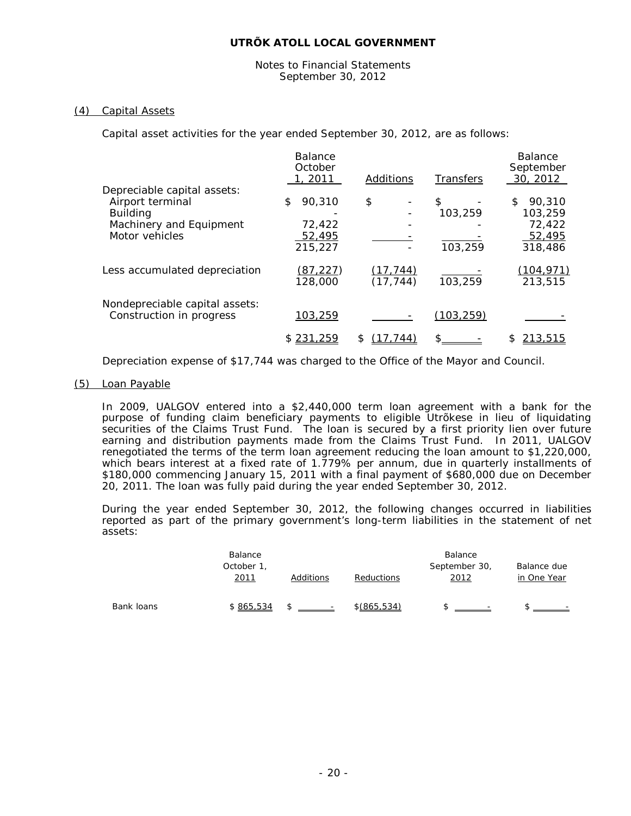#### Notes to Financial Statements September 30, 2012

# (4) Capital Assets

Capital asset activities for the year ended September 30, 2012, are as follows:

| <b>Balance</b><br>October<br>1, 2011 | Additions               | Transfers       | <b>Balance</b><br>September<br>30, 2012 |
|--------------------------------------|-------------------------|-----------------|-----------------------------------------|
|                                      |                         |                 |                                         |
|                                      |                         |                 | 90,310<br>\$                            |
|                                      |                         |                 | 103,259                                 |
| 72,422                               |                         |                 | 72,422                                  |
| 52,495                               |                         |                 | 52,495                                  |
| 215,227                              |                         | 103,259         | 318,486                                 |
| (87, 227)                            | (17, 744)               |                 | (104, 971)                              |
|                                      |                         |                 | 213,515                                 |
|                                      |                         |                 |                                         |
| 103,259                              |                         | (103, 259)      |                                         |
| \$231,259                            | S.<br>.7441             | \$              | 213,515<br>S.                           |
|                                      | 90,310<br>\$<br>128,000 | \$<br>(17, 744) | \$<br>103,259<br>103,259                |

Depreciation expense of \$17,744 was charged to the Office of the Mayor and Council.

#### (5) Loan Payable

In 2009, UALGOV entered into a \$2,440,000 term loan agreement with a bank for the purpose of funding claim beneficiary payments to eligible Utrõkese in lieu of liquidating securities of the Claims Trust Fund. The loan is secured by a first priority lien over future earning and distribution payments made from the Claims Trust Fund. In 2011, UALGOV renegotiated the terms of the term loan agreement reducing the loan amount to \$1,220,000, which bears interest at a fixed rate of 1.779% per annum, due in quarterly installments of \$180,000 commencing January 15, 2011 with a final payment of \$680,000 due on December 20, 2011. The loan was fully paid during the year ended September 30, 2012.

During the year ended September 30, 2012, the following changes occurred in liabilities reported as part of the primary government's long-term liabilities in the statement of net assets:

|            | Balance<br>October 1<br>2011 | Additions | <b>Reductions</b> | Balance<br>September 30,<br>2012 | Balance due<br>in One Year |
|------------|------------------------------|-----------|-------------------|----------------------------------|----------------------------|
| Bank loans | \$865,534                    |           | $$$ (865.534)     |                                  |                            |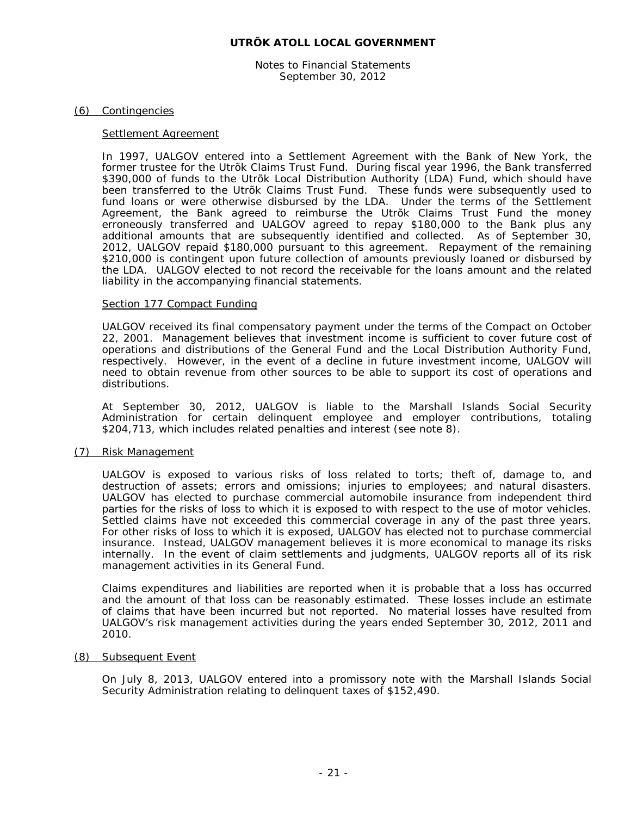Notes to Financial Statements September 30, 2012

#### (6) Contingencies

#### Settlement Agreement

In 1997, UALGOV entered into a Settlement Agreement with the Bank of New York, the former trustee for the Utrõk Claims Trust Fund. During fiscal year 1996, the Bank transferred \$390,000 of funds to the Utrõk Local Distribution Authority (LDA) Fund, which should have been transferred to the Utrõk Claims Trust Fund. These funds were subsequently used to fund loans or were otherwise disbursed by the LDA. Under the terms of the Settlement Agreement, the Bank agreed to reimburse the Utrõk Claims Trust Fund the money erroneously transferred and UALGOV agreed to repay \$180,000 to the Bank plus any additional amounts that are subsequently identified and collected. As of September 30, 2012, UALGOV repaid \$180,000 pursuant to this agreement. Repayment of the remaining \$210,000 is contingent upon future collection of amounts previously loaned or disbursed by the LDA. UALGOV elected to not record the receivable for the loans amount and the related liability in the accompanying financial statements.

#### Section 177 Compact Funding

UALGOV received its final compensatory payment under the terms of the Compact on October 22, 2001. Management believes that investment income is sufficient to cover future cost of operations and distributions of the General Fund and the Local Distribution Authority Fund, respectively. However, in the event of a decline in future investment income, UALGOV will need to obtain revenue from other sources to be able to support its cost of operations and distributions.

At September 30, 2012, UALGOV is liable to the Marshall Islands Social Security Administration for certain delinquent employee and employer contributions, totaling \$204,713, which includes related penalties and interest (see note 8).

#### (7) Risk Management

UALGOV is exposed to various risks of loss related to torts; theft of, damage to, and destruction of assets; errors and omissions; injuries to employees; and natural disasters. UALGOV has elected to purchase commercial automobile insurance from independent third parties for the risks of loss to which it is exposed to with respect to the use of motor vehicles. Settled claims have not exceeded this commercial coverage in any of the past three years. For other risks of loss to which it is exposed, UALGOV has elected not to purchase commercial insurance. Instead, UALGOV management believes it is more economical to manage its risks internally. In the event of claim settlements and judgments, UALGOV reports all of its risk management activities in its General Fund.

Claims expenditures and liabilities are reported when it is probable that a loss has occurred and the amount of that loss can be reasonably estimated. These losses include an estimate of claims that have been incurred but not reported. No material losses have resulted from UALGOV's risk management activities during the years ended September 30, 2012, 2011 and 2010.

# (8) Subsequent Event

On July 8, 2013, UALGOV entered into a promissory note with the Marshall Islands Social Security Administration relating to delinquent taxes of \$152,490.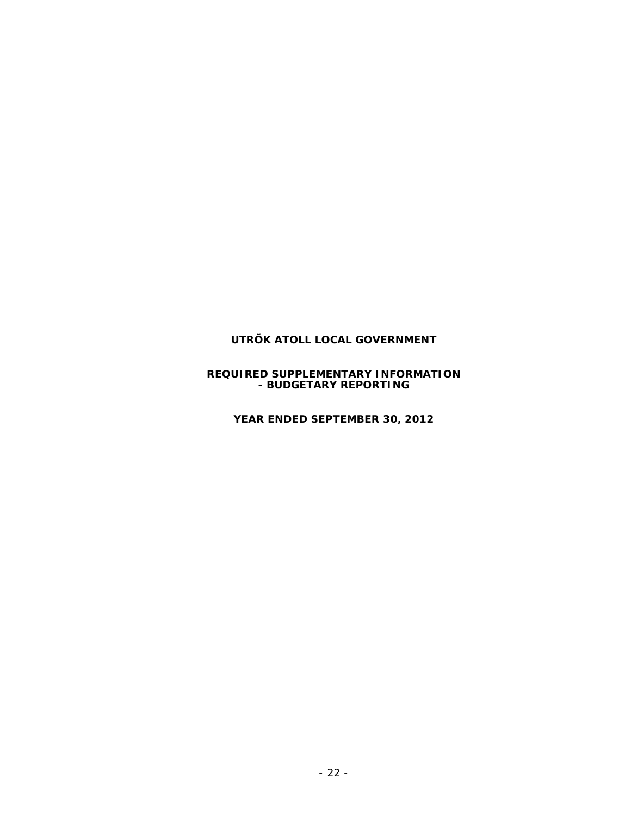# **REQUIRED SUPPLEMENTARY INFORMATION - BUDGETARY REPORTING**

**YEAR ENDED SEPTEMBER 30, 2012**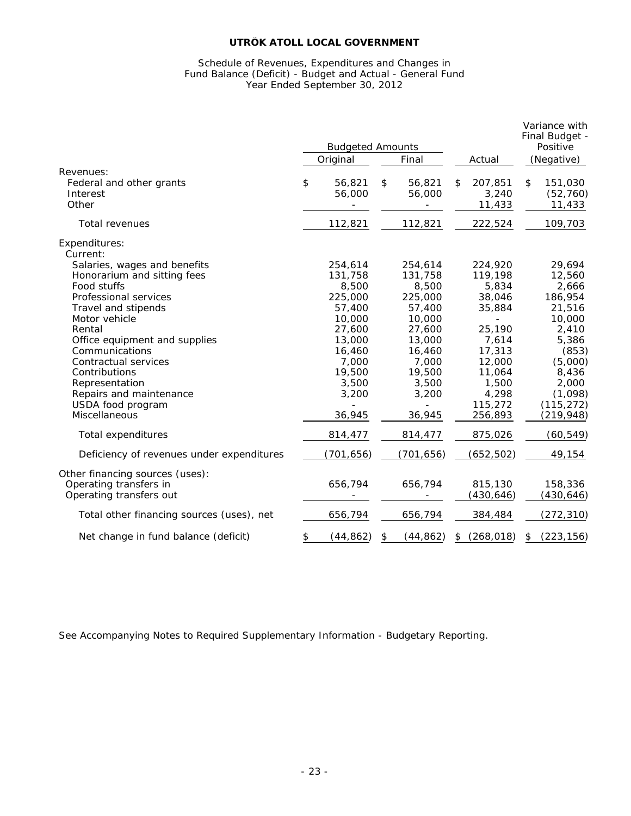#### Schedule of Revenues, Expenditures and Changes in Fund Balance (Deficit) - Budget and Actual - General Fund Year Ended September 30, 2012

|                                           | <b>Budgeted Amounts</b><br>Original | Final           | Actual           | Variance with<br>Final Budget -<br>Positive<br>(Negative) |
|-------------------------------------------|-------------------------------------|-----------------|------------------|-----------------------------------------------------------|
| Revenues:                                 |                                     |                 |                  |                                                           |
| Federal and other grants                  | \$<br>56,821                        | \$<br>56,821    | \$<br>207,851    | \$<br>151,030                                             |
| Interest                                  | 56,000                              | 56,000          | 3,240            | (52, 760)                                                 |
| Other                                     |                                     |                 | 11,433           | 11,433                                                    |
| Total revenues                            | 112,821                             | 112,821         | 222,524          | 109,703                                                   |
| Expenditures:                             |                                     |                 |                  |                                                           |
| Current:                                  |                                     |                 |                  |                                                           |
| Salaries, wages and benefits              | 254,614                             | 254,614         | 224,920          | 29,694                                                    |
| Honorarium and sitting fees               | 131,758                             | 131,758         | 119,198          | 12,560                                                    |
| Food stuffs                               | 8,500                               | 8,500           | 5,834            | 2,666                                                     |
| Professional services                     | 225,000                             | 225,000         | 38,046           | 186,954                                                   |
| Travel and stipends                       | 57,400                              | 57,400          | 35,884           | 21,516                                                    |
| Motor vehicle                             | 10,000                              | 10,000          |                  | 10,000                                                    |
| Rental                                    | 27,600                              | 27,600          | 25,190           | 2,410                                                     |
| Office equipment and supplies             | 13,000                              | 13,000          | 7,614            | 5,386                                                     |
| Communications<br>Contractual services    | 16,460<br>7,000                     | 16,460<br>7,000 | 17,313<br>12,000 | (853)<br>(5,000)                                          |
| Contributions                             | 19,500                              | 19,500          | 11,064           | 8,436                                                     |
| Representation                            | 3,500                               | 3,500           | 1,500            | 2,000                                                     |
| Repairs and maintenance                   | 3,200                               | 3,200           | 4,298            | (1,098)                                                   |
| USDA food program                         |                                     |                 | 115,272          | (115, 272)                                                |
| Miscellaneous                             | 36,945                              | 36,945          | 256,893          | (219, 948)                                                |
| Total expenditures                        | 814,477                             | 814,477         | 875,026          | (60, 549)                                                 |
| Deficiency of revenues under expenditures | (701,656)                           | (701,656)       | (652, 502)       | 49,154                                                    |
| Other financing sources (uses):           |                                     |                 |                  |                                                           |
| Operating transfers in                    | 656,794                             | 656,794         | 815,130          | 158,336                                                   |
| Operating transfers out                   |                                     |                 | (430,646)        | (430,646)                                                 |
| Total other financing sources (uses), net | 656,794                             | 656,794         | 384,484          | (272,310)                                                 |
| Net change in fund balance (deficit)      | \$<br>(44,862)                      | \$<br>(44, 862) | \$<br>(268, 018) | \$<br>(223, 156)                                          |

See Accompanying Notes to Required Supplementary Information - Budgetary Reporting.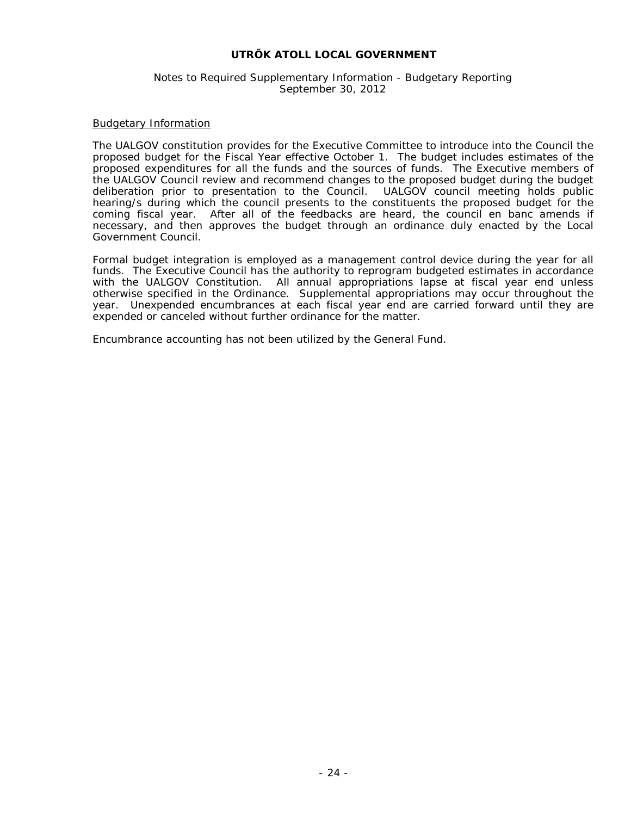#### Notes to Required Supplementary Information - Budgetary Reporting September 30, 2012

#### Budgetary Information

The UALGOV constitution provides for the Executive Committee to introduce into the Council the proposed budget for the Fiscal Year effective October 1. The budget includes estimates of the proposed expenditures for all the funds and the sources of funds. The Executive members of the UALGOV Council review and recommend changes to the proposed budget during the budget deliberation prior to presentation to the Council. UALGOV council meeting holds public deliberation prior to presentation to the Council. hearing/s during which the council presents to the constituents the proposed budget for the coming fiscal year. After all of the feedbacks are heard, the council en banc amends if necessary, and then approves the budget through an ordinance duly enacted by the Local Government Council.

Formal budget integration is employed as a management control device during the year for all funds. The Executive Council has the authority to reprogram budgeted estimates in accordance with the UALGOV Constitution. All annual appropriations lapse at fiscal year end unless otherwise specified in the Ordinance. Supplemental appropriations may occur throughout the year. Unexpended encumbrances at each fiscal year end are carried forward until they are expended or canceled without further ordinance for the matter.

Encumbrance accounting has not been utilized by the General Fund.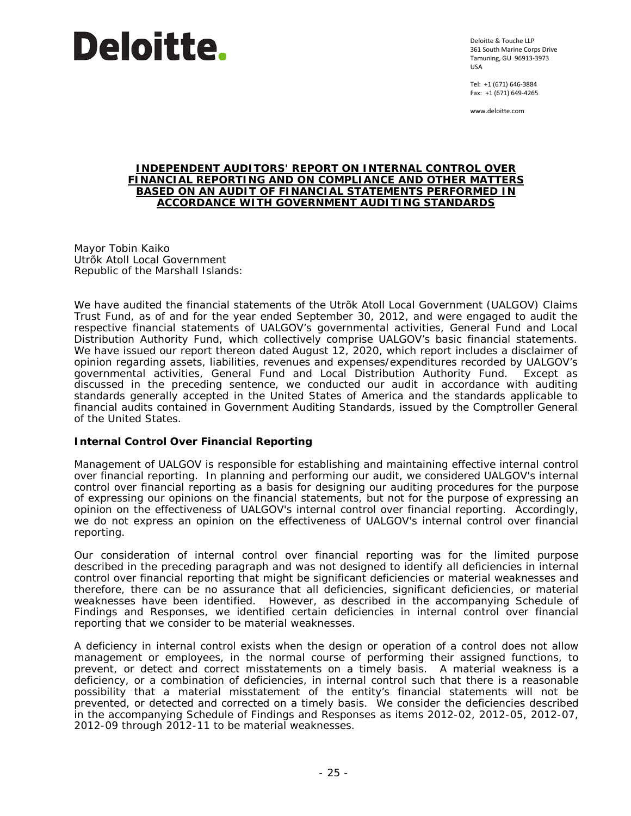

Deloitte & Touche LLP 361 South Marine Corps Drive Tamuning, GU 96913-3973 USA

Tel: +1 (671) 646-3884 Fax: +1 (671) 649-4265

www.deloitte.com

#### **INDEPENDENT AUDITORS' REPORT ON INTERNAL CONTROL OVER FINANCIAL REPORTING AND ON COMPLIANCE AND OTHER MATTERS BASED ON AN AUDIT OF FINANCIAL STATEMENTS PERFORMED IN ACCORDANCE WITH** *GOVERNMENT AUDITING STANDARDS*

Mayor Tobin Kaiko Utrõk Atoll Local Government Republic of the Marshall Islands:

We have audited the financial statements of the Utrõk Atoll Local Government (UALGOV) Claims Trust Fund, as of and for the year ended September 30, 2012, and were engaged to audit the respective financial statements of UALGOV's governmental activities, General Fund and Local Distribution Authority Fund, which collectively comprise UALGOV's basic financial statements. We have issued our report thereon dated August 12, 2020, which report includes a disclaimer of opinion regarding assets, liabilities, revenues and expenses/expenditures recorded by UALGOV's governmental activities, General Fund and Local Distribution Authority Fund. discussed in the preceding sentence, we conducted our audit in accordance with auditing standards generally accepted in the United States of America and the standards applicable to financial audits contained in *Government Auditing Standards*, issued by the Comptroller General of the United States.

# **Internal Control Over Financial Reporting**

Management of UALGOV is responsible for establishing and maintaining effective internal control over financial reporting. In planning and performing our audit, we considered UALGOV's internal control over financial reporting as a basis for designing our auditing procedures for the purpose of expressing our opinions on the financial statements, but not for the purpose of expressing an opinion on the effectiveness of UALGOV's internal control over financial reporting. Accordingly, we do not express an opinion on the effectiveness of UALGOV's internal control over financial reporting.

Our consideration of internal control over financial reporting was for the limited purpose described in the preceding paragraph and was not designed to identify all deficiencies in internal control over financial reporting that might be significant deficiencies or material weaknesses and therefore, there can be no assurance that all deficiencies, significant deficiencies, or material weaknesses have been identified. However, as described in the accompanying Schedule of Findings and Responses, we identified certain deficiencies in internal control over financial reporting that we consider to be material weaknesses.

A *deficiency in internal control* exists when the design or operation of a control does not allow management or employees, in the normal course of performing their assigned functions, to prevent, or detect and correct misstatements on a timely basis. A *material weakness* is a deficiency, or a combination of deficiencies, in internal control such that there is a reasonable possibility that a material misstatement of the entity's financial statements will not be prevented, or detected and corrected on a timely basis. We consider the deficiencies described in the accompanying Schedule of Findings and Responses as items 2012-02, 2012-05, 2012-07, 2012-09 through 2012-11 to be material weaknesses.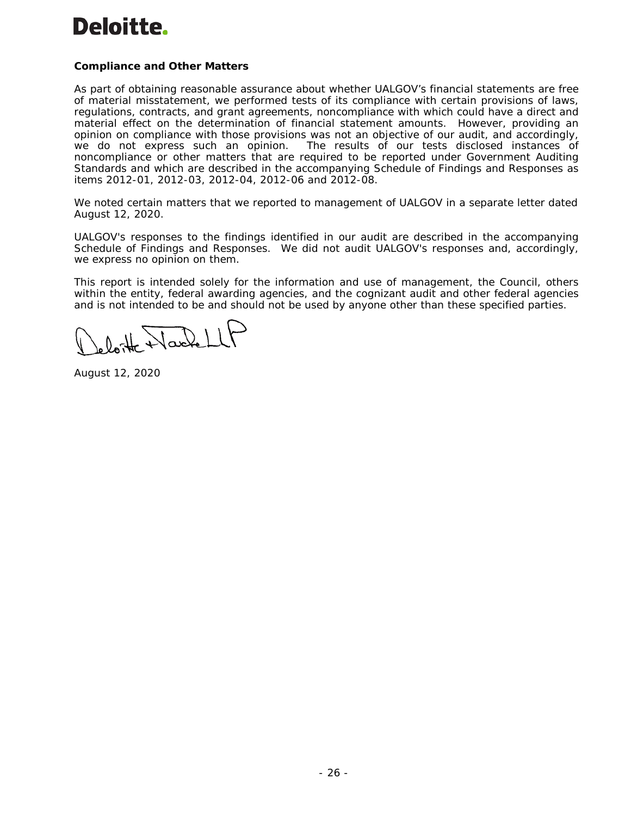# Deloitte.

# **Compliance and Other Matters**

As part of obtaining reasonable assurance about whether UALGOV's financial statements are free of material misstatement, we performed tests of its compliance with certain provisions of laws, regulations, contracts, and grant agreements, noncompliance with which could have a direct and material effect on the determination of financial statement amounts. However, providing an opinion on compliance with those provisions was not an objective of our audit, and accordingly, we do not express such an opinion. The results of our tests disclosed instances of noncompliance or other matters that are required to be reported under *Government Auditing Standards* and which are described in the accompanying Schedule of Findings and Responses as items 2012-01, 2012-03, 2012-04, 2012-06 and 2012-08.

We noted certain matters that we reported to management of UALGOV in a separate letter dated August 12, 2020.

UALGOV's responses to the findings identified in our audit are described in the accompanying Schedule of Findings and Responses. We did not audit UALGOV's responses and, accordingly, we express no opinion on them.

This report is intended solely for the information and use of management, the Council, others within the entity, federal awarding agencies, and the cognizant audit and other federal agencies and is not intended to be and should not be used by anyone other than these specified parties.

eloite Nache

August 12, 2020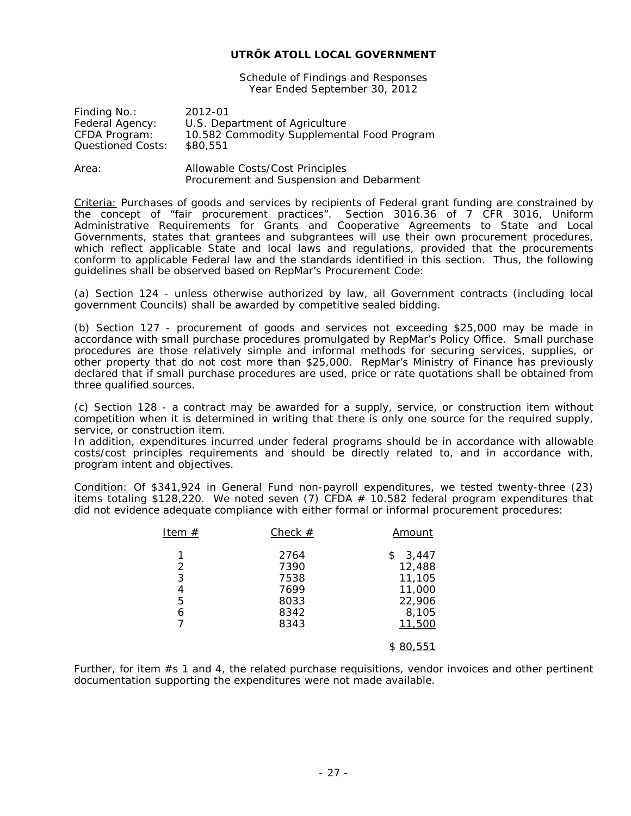Schedule of Findings and Responses Year Ended September 30, 2012

| Finding No.:                              | 2012-01                                                |
|-------------------------------------------|--------------------------------------------------------|
| Federal Agency:                           | U.S. Department of Agriculture                         |
| CFDA Program:<br><b>Questioned Costs:</b> | 10.582 Commodity Supplemental Food Program<br>\$80.551 |
| Aros.                                     | Allowahle Costs/Cost Princinles                        |

Area: Allowable Costs/Cost Principles Procurement and Suspension and Debarment

Criteria: Purchases of goods and services by recipients of Federal grant funding are constrained by the concept of "fair procurement practices". Section 3016.36 of 7 CFR 3016, *Uniform Administrative Requirements for Grants and Cooperative Agreements to State and Local Governments*, states that grantees and subgrantees will use their own procurement procedures, which reflect applicable State and local laws and regulations, provided that the procurements conform to applicable Federal law and the standards identified in this section. Thus, the following guidelines shall be observed based on RepMar's Procurement Code:

(a) Section 124 - unless otherwise authorized by law, all Government contracts (including local government Councils) shall be awarded by competitive sealed bidding.

(b) Section 127 - procurement of goods and services not exceeding \$25,000 may be made in accordance with small purchase procedures promulgated by RepMar's Policy Office. Small purchase procedures are those relatively simple and informal methods for securing services, supplies, or other property that do not cost more than \$25,000. RepMar's Ministry of Finance has previously declared that if small purchase procedures are used, price or rate quotations shall be obtained from three qualified sources.

(c) Section 128 - a contract may be awarded for a supply, service, or construction item without competition when it is determined in writing that there is only one source for the required supply, service, or construction item.

In addition, expenditures incurred under federal programs should be in accordance with allowable costs/cost principles requirements and should be directly related to, and in accordance with, program intent and objectives.

Condition: Of \$341,924 in General Fund non-payroll expenditures, we tested twenty-three (23) items totaling \$128,220. We noted seven (7) CFDA  $#$  10.582 federal program expenditures that did not evidence adequate compliance with either formal or informal procurement procedures:

| Item $#$              | Check $#$                            | Amount                                              |
|-----------------------|--------------------------------------|-----------------------------------------------------|
| 1<br>2<br>3<br>4<br>5 | 2764<br>7390<br>7538<br>7699<br>8033 | 3,447<br>\$<br>12,488<br>11,105<br>11,000<br>22,906 |
| 6<br>7                | 8342<br>8343                         | 8,105<br>11,500<br>\$80.551                         |

Further, for item #s 1 and 4, the related purchase requisitions, vendor invoices and other pertinent documentation supporting the expenditures were not made available.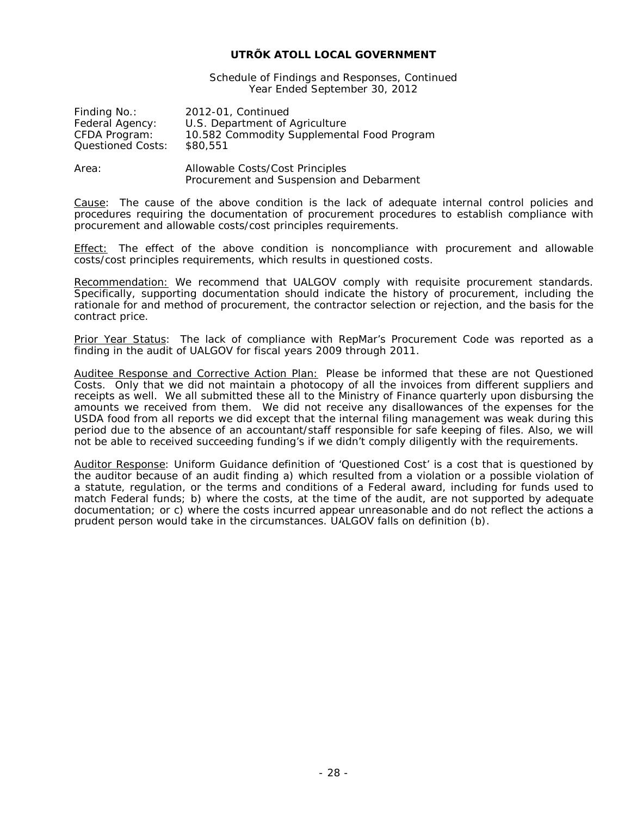Schedule of Findings and Responses, Continued Year Ended September 30, 2012

| Finding No.:             | 2012-01. Continued                         |
|--------------------------|--------------------------------------------|
| Federal Agency:          | U.S. Department of Agriculture             |
| CFDA Program:            | 10.582 Commodity Supplemental Food Program |
| <b>Questioned Costs:</b> | \$80.551                                   |
|                          |                                            |

Area: Allowable Costs/Cost Principles Procurement and Suspension and Debarment

Cause: The cause of the above condition is the lack of adequate internal control policies and procedures requiring the documentation of procurement procedures to establish compliance with procurement and allowable costs/cost principles requirements.

Effect: The effect of the above condition is noncompliance with procurement and allowable costs/cost principles requirements, which results in questioned costs.

Recommendation: We recommend that UALGOV comply with requisite procurement standards. Specifically, supporting documentation should indicate the history of procurement, including the rationale for and method of procurement, the contractor selection or rejection, and the basis for the contract price.

Prior Year Status: The lack of compliance with RepMar's Procurement Code was reported as a finding in the audit of UALGOV for fiscal years 2009 through 2011.

Auditee Response and Corrective Action Plan: Please be informed that these are not Questioned Costs. Only that we did not maintain a photocopy of all the invoices from different suppliers and receipts as well. We all submitted these all to the Ministry of Finance quarterly upon disbursing the amounts we received from them. We did not receive any disallowances of the expenses for the USDA food from all reports we did except that the internal filing management was weak during this period due to the absence of an accountant/staff responsible for safe keeping of files. Also, we will not be able to received succeeding funding's if we didn't comply diligently with the requirements.

Auditor Response: Uniform Guidance definition of 'Questioned Cost' is a cost that is questioned by the auditor because of an audit finding a) which resulted from a violation or a possible violation of a statute, regulation, or the terms and conditions of a Federal award, including for funds used to match Federal funds; b) where the costs, at the time of the audit, are not supported by adequate documentation; or c) where the costs incurred appear unreasonable and do not reflect the actions a prudent person would take in the circumstances. UALGOV falls on definition (b).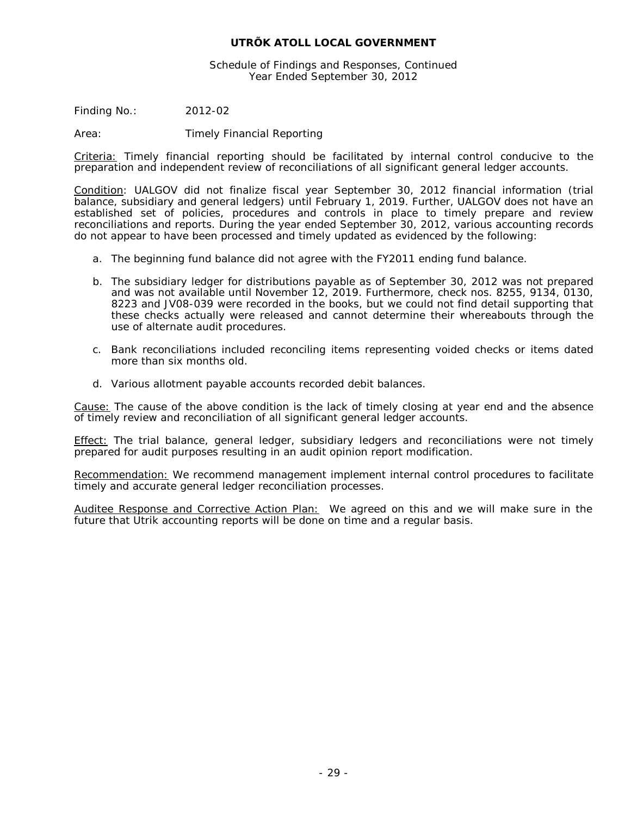Schedule of Findings and Responses, Continued Year Ended September 30, 2012

Finding No.: 2012-02

Area: Timely Financial Reporting

Criteria: Timely financial reporting should be facilitated by internal control conducive to the preparation and independent review of reconciliations of all significant general ledger accounts.

Condition: UALGOV did not finalize fiscal year September 30, 2012 financial information (trial balance, subsidiary and general ledgers) until February 1, 2019. Further, UALGOV does not have an established set of policies, procedures and controls in place to timely prepare and review reconciliations and reports. During the year ended September 30, 2012, various accounting records do not appear to have been processed and timely updated as evidenced by the following:

- a. The beginning fund balance did not agree with the FY2011 ending fund balance.
- b. The subsidiary ledger for distributions payable as of September 30, 2012 was not prepared and was not available until November 12, 2019. Furthermore, check nos. 8255, 9134, 0130, 8223 and JV08-039 were recorded in the books, but we could not find detail supporting that these checks actually were released and cannot determine their whereabouts through the use of alternate audit procedures.
- c. Bank reconciliations included reconciling items representing voided checks or items dated more than six months old.
- d. Various allotment payable accounts recorded debit balances.

Cause: The cause of the above condition is the lack of timely closing at year end and the absence of timely review and reconciliation of all significant general ledger accounts.

**Effect:** The trial balance, general ledger, subsidiary ledgers and reconciliations were not timely prepared for audit purposes resulting in an audit opinion report modification.

Recommendation: We recommend management implement internal control procedures to facilitate timely and accurate general ledger reconciliation processes.

Auditee Response and Corrective Action Plan: We agreed on this and we will make sure in the future that Utrik accounting reports will be done on time and a regular basis.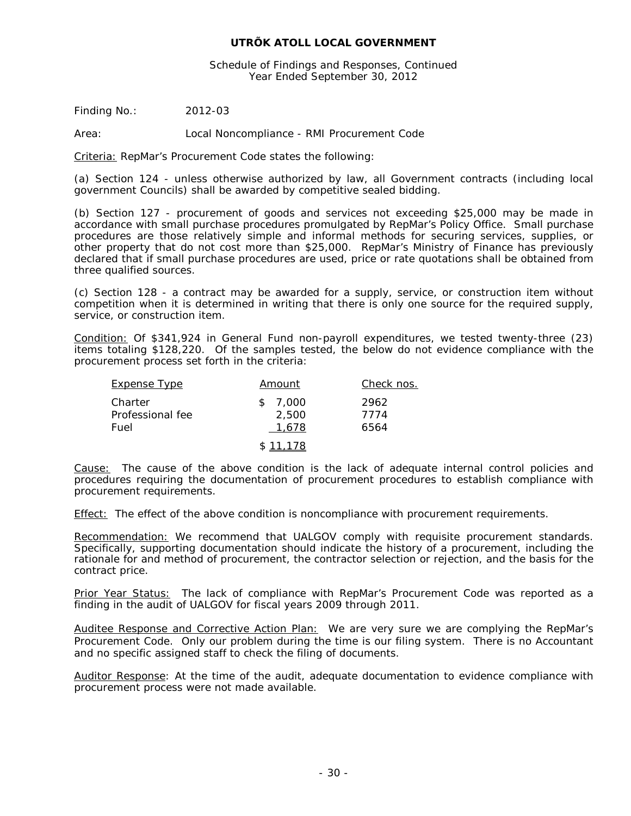Schedule of Findings and Responses, Continued Year Ended September 30, 2012

Finding No.: 2012-03

Area: Local Noncompliance - RMI Procurement Code

Criteria: RepMar's Procurement Code states the following:

(a) Section 124 - unless otherwise authorized by law, all Government contracts (including local government Councils) shall be awarded by competitive sealed bidding.

(b) Section 127 - procurement of goods and services not exceeding \$25,000 may be made in accordance with small purchase procedures promulgated by RepMar's Policy Office. Small purchase procedures are those relatively simple and informal methods for securing services, supplies, or other property that do not cost more than \$25,000. RepMar's Ministry of Finance has previously declared that if small purchase procedures are used, price or rate quotations shall be obtained from three qualified sources.

(c) Section 128 - a contract may be awarded for a supply, service, or construction item without competition when it is determined in writing that there is only one source for the required supply, service, or construction item.

Condition: Of \$341,924 in General Fund non-payroll expenditures, we tested twenty-three (23) items totaling \$128,220. Of the samples tested, the below do not evidence compliance with the procurement process set forth in the criteria:

| Expense Type                        | Amount                         | Check nos.           |
|-------------------------------------|--------------------------------|----------------------|
| Charter<br>Professional fee<br>Fuel | 7.000<br>\$.<br>2.500<br>1.678 | 2962<br>7774<br>6564 |
|                                     | \$11.178                       |                      |

Cause: The cause of the above condition is the lack of adequate internal control policies and procedures requiring the documentation of procurement procedures to establish compliance with procurement requirements.

Effect: The effect of the above condition is noncompliance with procurement requirements.

Recommendation: We recommend that UALGOV comply with requisite procurement standards. Specifically, supporting documentation should indicate the history of a procurement, including the rationale for and method of procurement, the contractor selection or rejection, and the basis for the contract price.

Prior Year Status: The lack of compliance with RepMar's Procurement Code was reported as a finding in the audit of UALGOV for fiscal years 2009 through 2011.

Auditee Response and Corrective Action Plan: We are very sure we are complying the RepMar's Procurement Code. Only our problem during the time is our filing system. There is no Accountant and no specific assigned staff to check the filing of documents.

Auditor Response: At the time of the audit, adequate documentation to evidence compliance with procurement process were not made available.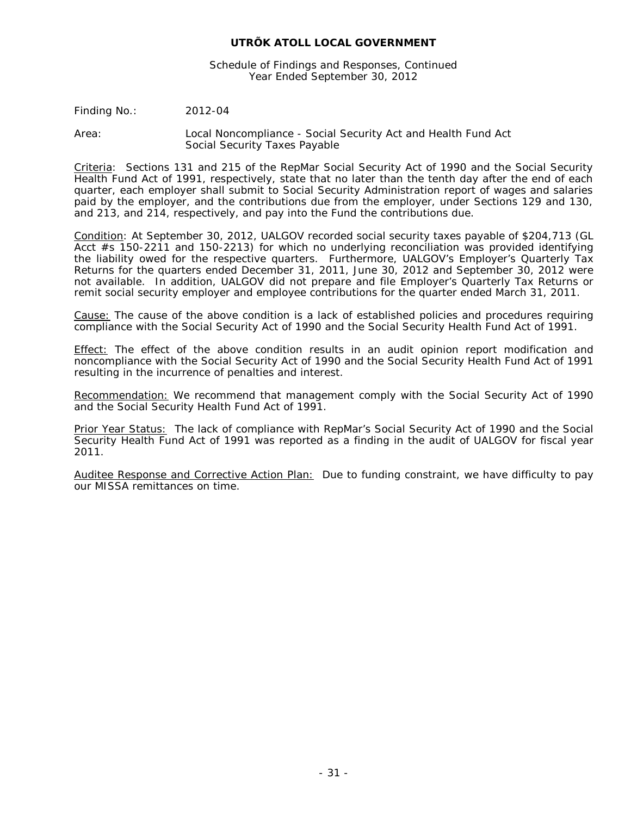Schedule of Findings and Responses, Continued Year Ended September 30, 2012

Finding No.: 2012-04

Area: Local Noncompliance - Social Security Act and Health Fund Act Social Security Taxes Payable

Criteria: Sections 131 and 215 of the RepMar Social Security Act of 1990 and the Social Security Health Fund Act of 1991, respectively, state that no later than the tenth day after the end of each quarter, each employer shall submit to Social Security Administration report of wages and salaries paid by the employer, and the contributions due from the employer, under Sections 129 and 130, and 213, and 214, respectively, and pay into the Fund the contributions due.

Condition: At September 30, 2012, UALGOV recorded social security taxes payable of \$204,713 (GL Acct #s 150-2211 and 150-2213) for which no underlying reconciliation was provided identifying the liability owed for the respective quarters. Furthermore, UALGOV's Employer's Quarterly Tax Returns for the quarters ended December 31, 2011, June 30, 2012 and September 30, 2012 were not available. In addition, UALGOV did not prepare and file Employer's Quarterly Tax Returns or remit social security employer and employee contributions for the quarter ended March 31, 2011.

Cause: The cause of the above condition is a lack of established policies and procedures requiring compliance with the Social Security Act of 1990 and the Social Security Health Fund Act of 1991.

Effect: The effect of the above condition results in an audit opinion report modification and noncompliance with the Social Security Act of 1990 and the Social Security Health Fund Act of 1991 resulting in the incurrence of penalties and interest.

Recommendation: We recommend that management comply with the Social Security Act of 1990 and the Social Security Health Fund Act of 1991.

Prior Year Status: The lack of compliance with RepMar's Social Security Act of 1990 and the Social Security Health Fund Act of 1991 was reported as a finding in the audit of UALGOV for fiscal year 2011.

Auditee Response and Corrective Action Plan: Due to funding constraint, we have difficulty to pay our MISSA remittances on time.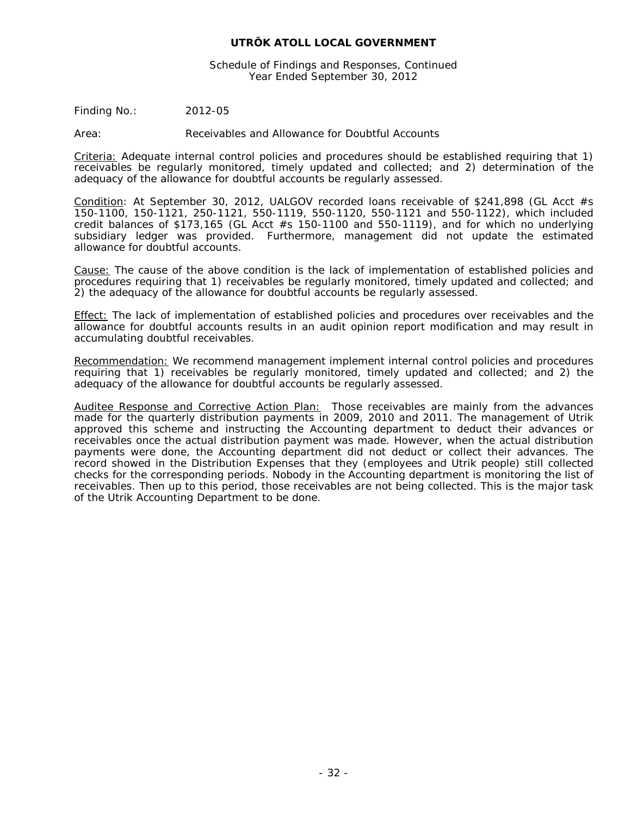Schedule of Findings and Responses, Continued Year Ended September 30, 2012

Finding No.: 2012-05

Area: Receivables and Allowance for Doubtful Accounts

Criteria: Adequate internal control policies and procedures should be established requiring that 1) receivables be regularly monitored, timely updated and collected; and 2) determination of the adequacy of the allowance for doubtful accounts be regularly assessed.

Condition: At September 30, 2012, UALGOV recorded loans receivable of \$241,898 (GL Acct #s 150-1100, 150-1121, 250-1121, 550-1119, 550-1120, 550-1121 and 550-1122), which included credit balances of \$173,165 (GL Acct #s 150-1100 and 550-1119), and for which no underlying subsidiary ledger was provided. Furthermore, management did not update the estimated allowance for doubtful accounts.

Cause: The cause of the above condition is the lack of implementation of established policies and procedures requiring that 1) receivables be regularly monitored, timely updated and collected; and 2) the adequacy of the allowance for doubtful accounts be regularly assessed.

Effect: The lack of implementation of established policies and procedures over receivables and the allowance for doubtful accounts results in an audit opinion report modification and may result in accumulating doubtful receivables.

Recommendation: We recommend management implement internal control policies and procedures requiring that 1) receivables be regularly monitored, timely updated and collected; and 2) the adequacy of the allowance for doubtful accounts be regularly assessed.

Auditee Response and Corrective Action Plan: Those receivables are mainly from the advances made for the quarterly distribution payments in 2009, 2010 and 2011. The management of Utrik approved this scheme and instructing the Accounting department to deduct their advances or receivables once the actual distribution payment was made. However, when the actual distribution payments were done, the Accounting department did not deduct or collect their advances. The record showed in the Distribution Expenses that they (employees and Utrik people) still collected checks for the corresponding periods. Nobody in the Accounting department is monitoring the list of receivables. Then up to this period, those receivables are not being collected. This is the major task of the Utrik Accounting Department to be done.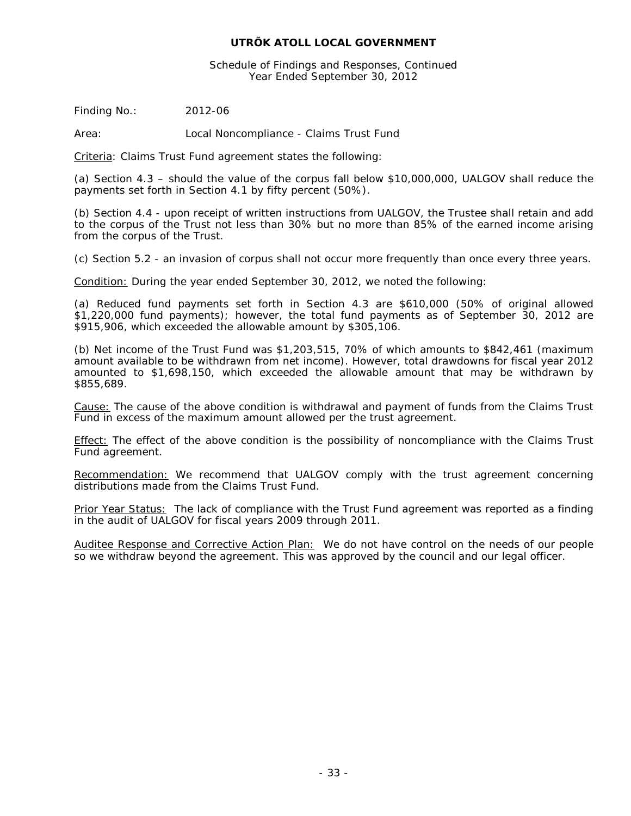Schedule of Findings and Responses, Continued Year Ended September 30, 2012

Finding No.: 2012-06

Area: Local Noncompliance - Claims Trust Fund

Criteria: Claims Trust Fund agreement states the following:

(a) Section 4.3 – should the value of the corpus fall below \$10,000,000, UALGOV shall reduce the payments set forth in Section 4.1 by fifty percent (50%).

(b) Section 4.4 - upon receipt of written instructions from UALGOV, the Trustee shall retain and add to the corpus of the Trust not less than 30% but no more than 85% of the earned income arising from the corpus of the Trust.

(c) Section 5.2 - an invasion of corpus shall not occur more frequently than once every three years.

Condition: During the year ended September 30, 2012, we noted the following:

(a) Reduced fund payments set forth in Section 4.3 are \$610,000 (50% of original allowed \$1,220,000 fund payments); however, the total fund payments as of September 30, 2012 are \$915,906, which exceeded the allowable amount by \$305,106.

(b) Net income of the Trust Fund was \$1,203,515, 70% of which amounts to \$842,461 (maximum amount available to be withdrawn from net income). However, total drawdowns for fiscal year 2012 amounted to \$1,698,150, which exceeded the allowable amount that may be withdrawn by \$855,689.

Cause: The cause of the above condition is withdrawal and payment of funds from the Claims Trust Fund in excess of the maximum amount allowed per the trust agreement.

Effect: The effect of the above condition is the possibility of noncompliance with the Claims Trust Fund agreement.

Recommendation: We recommend that UALGOV comply with the trust agreement concerning distributions made from the Claims Trust Fund.

Prior Year Status: The lack of compliance with the Trust Fund agreement was reported as a finding in the audit of UALGOV for fiscal years 2009 through 2011.

Auditee Response and Corrective Action Plan: We do not have control on the needs of our people so we withdraw beyond the agreement. This was approved by the council and our legal officer.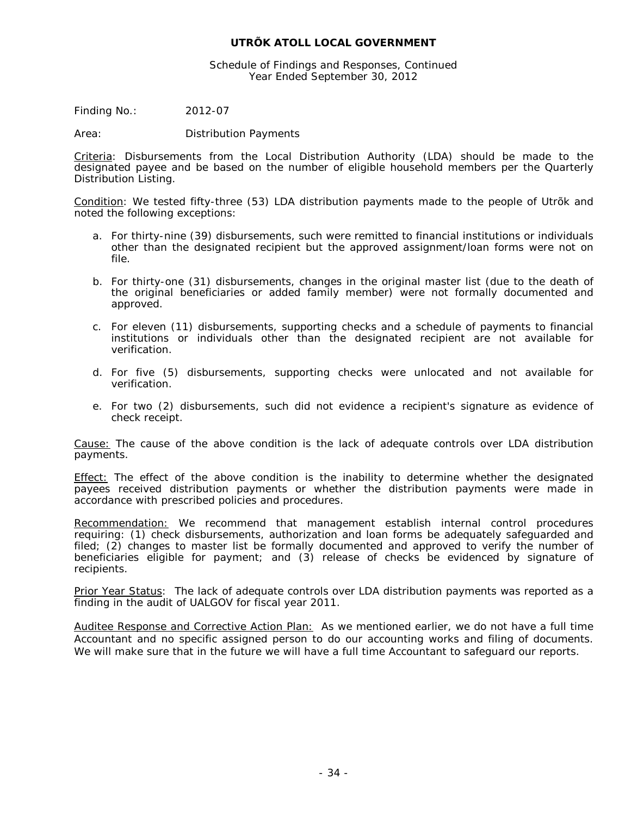Schedule of Findings and Responses, Continued Year Ended September 30, 2012

Finding No.: 2012-07

Area: Distribution Payments

Criteria: Disbursements from the Local Distribution Authority (LDA) should be made to the designated payee and be based on the number of eligible household members per the Quarterly Distribution Listing.

Condition: We tested fifty-three (53) LDA distribution payments made to the people of Utrõk and noted the following exceptions:

- a. For thirty-nine (39) disbursements, such were remitted to financial institutions or individuals other than the designated recipient but the approved assignment/loan forms were not on file.
- b. For thirty-one (31) disbursements, changes in the original master list (due to the death of the original beneficiaries or added family member) were not formally documented and approved.
- c. For eleven (11) disbursements, supporting checks and a schedule of payments to financial institutions or individuals other than the designated recipient are not available for verification.
- d. For five (5) disbursements, supporting checks were unlocated and not available for verification.
- e. For two (2) disbursements, such did not evidence a recipient's signature as evidence of check receipt.

Cause: The cause of the above condition is the lack of adequate controls over LDA distribution payments.

Effect: The effect of the above condition is the inability to determine whether the designated payees received distribution payments or whether the distribution payments were made in accordance with prescribed policies and procedures.

Recommendation: We recommend that management establish internal control procedures requiring: (1) check disbursements, authorization and loan forms be adequately safeguarded and filed; (2) changes to master list be formally documented and approved to verify the number of beneficiaries eligible for payment; and (3) release of checks be evidenced by signature of recipients.

Prior Year Status: The lack of adequate controls over LDA distribution payments was reported as a finding in the audit of UALGOV for fiscal year 2011.

Auditee Response and Corrective Action Plan: As we mentioned earlier, we do not have a full time Accountant and no specific assigned person to do our accounting works and filing of documents. We will make sure that in the future we will have a full time Accountant to safeguard our reports.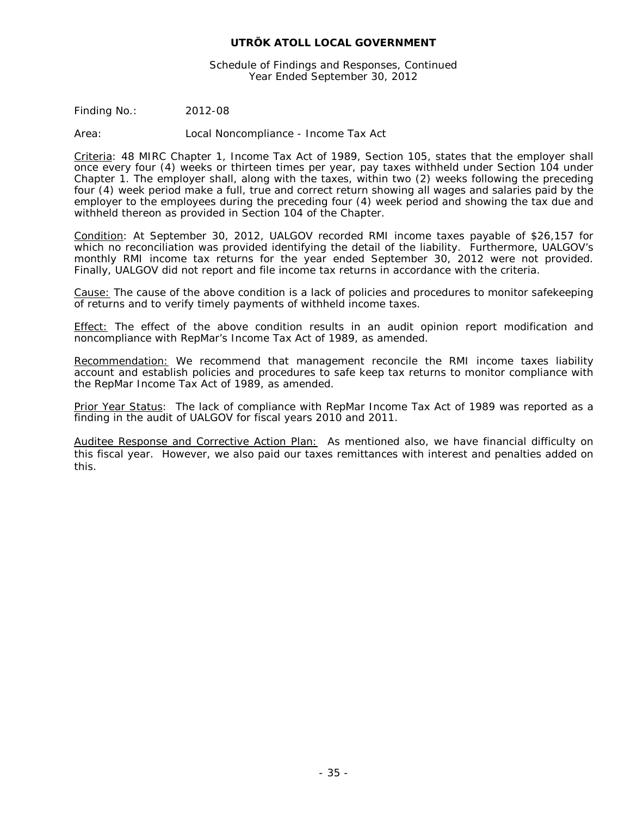Schedule of Findings and Responses, Continued Year Ended September 30, 2012

Finding No.: 2012-08

Area: Local Noncompliance - Income Tax Act

Criteria: 48 MIRC Chapter 1, Income Tax Act of 1989, Section 105, states that the employer shall once every four (4) weeks or thirteen times per year, pay taxes withheld under Section 104 under Chapter 1. The employer shall, along with the taxes, within two (2) weeks following the preceding four (4) week period make a full, true and correct return showing all wages and salaries paid by the employer to the employees during the preceding four (4) week period and showing the tax due and withheld thereon as provided in Section 104 of the Chapter.

Condition: At September 30, 2012, UALGOV recorded RMI income taxes payable of \$26,157 for which no reconciliation was provided identifying the detail of the liability. Furthermore, UALGOV's monthly RMI income tax returns for the year ended September 30, 2012 were not provided. Finally, UALGOV did not report and file income tax returns in accordance with the criteria.

Cause: The cause of the above condition is a lack of policies and procedures to monitor safekeeping of returns and to verify timely payments of withheld income taxes.

**Effect:** The effect of the above condition results in an audit opinion report modification and noncompliance with RepMar's Income Tax Act of 1989, as amended.

Recommendation: We recommend that management reconcile the RMI income taxes liability account and establish policies and procedures to safe keep tax returns to monitor compliance with the RepMar Income Tax Act of 1989, as amended.

Prior Year Status: The lack of compliance with RepMar Income Tax Act of 1989 was reported as a finding in the audit of UALGOV for fiscal years 2010 and 2011.

Auditee Response and Corrective Action Plan: As mentioned also, we have financial difficulty on this fiscal year. However, we also paid our taxes remittances with interest and penalties added on this.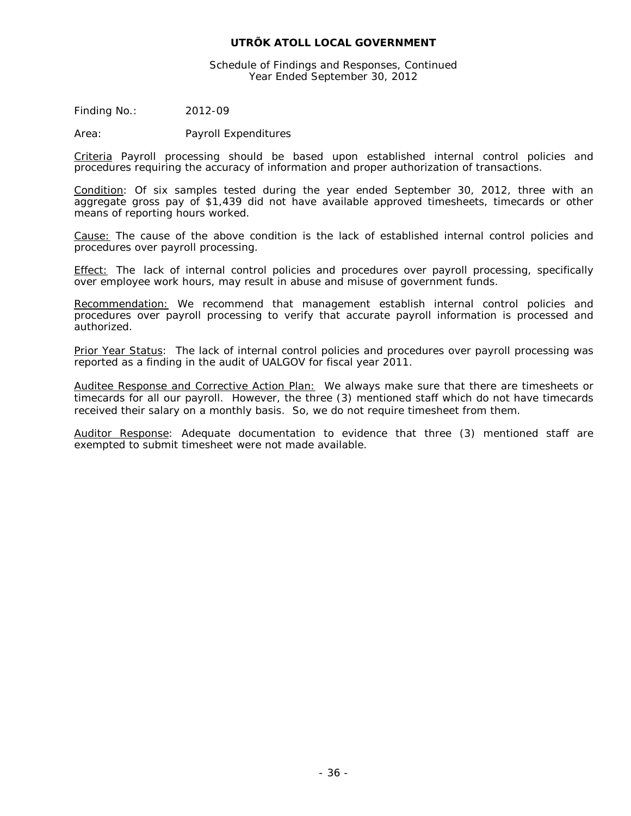Schedule of Findings and Responses, Continued Year Ended September 30, 2012

Finding No.: 2012-09

Area: Payroll Expenditures

Criteria Payroll processing should be based upon established internal control policies and procedures requiring the accuracy of information and proper authorization of transactions.

Condition: Of six samples tested during the year ended September 30, 2012, three with an aggregate gross pay of \$1,439 did not have available approved timesheets, timecards or other means of reporting hours worked.

Cause: The cause of the above condition is the lack of established internal control policies and procedures over payroll processing.

Effect: The lack of internal control policies and procedures over payroll processing, specifically over employee work hours, may result in abuse and misuse of government funds.

Recommendation: We recommend that management establish internal control policies and procedures over payroll processing to verify that accurate payroll information is processed and authorized.

Prior Year Status: The lack of internal control policies and procedures over payroll processing was reported as a finding in the audit of UALGOV for fiscal year 2011.

Auditee Response and Corrective Action Plan: We always make sure that there are timesheets or timecards for all our payroll. However, the three (3) mentioned staff which do not have timecards received their salary on a monthly basis. So, we do not require timesheet from them.

Auditor Response: Adequate documentation to evidence that three (3) mentioned staff are exempted to submit timesheet were not made available.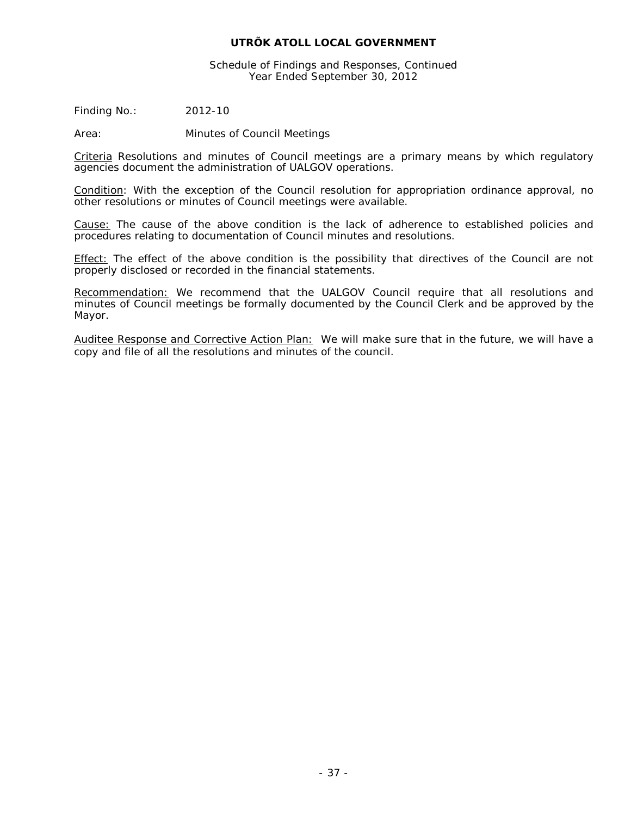Schedule of Findings and Responses, Continued Year Ended September 30, 2012

Finding No.: 2012-10

Area: Minutes of Council Meetings

Criteria Resolutions and minutes of Council meetings are a primary means by which regulatory agencies document the administration of UALGOV operations.

Condition: With the exception of the Council resolution for appropriation ordinance approval, no other resolutions or minutes of Council meetings were available.

Cause: The cause of the above condition is the lack of adherence to established policies and procedures relating to documentation of Council minutes and resolutions.

Effect: The effect of the above condition is the possibility that directives of the Council are not properly disclosed or recorded in the financial statements.

Recommendation: We recommend that the UALGOV Council require that all resolutions and minutes of Council meetings be formally documented by the Council Clerk and be approved by the Mayor.

Auditee Response and Corrective Action Plan: We will make sure that in the future, we will have a copy and file of all the resolutions and minutes of the council.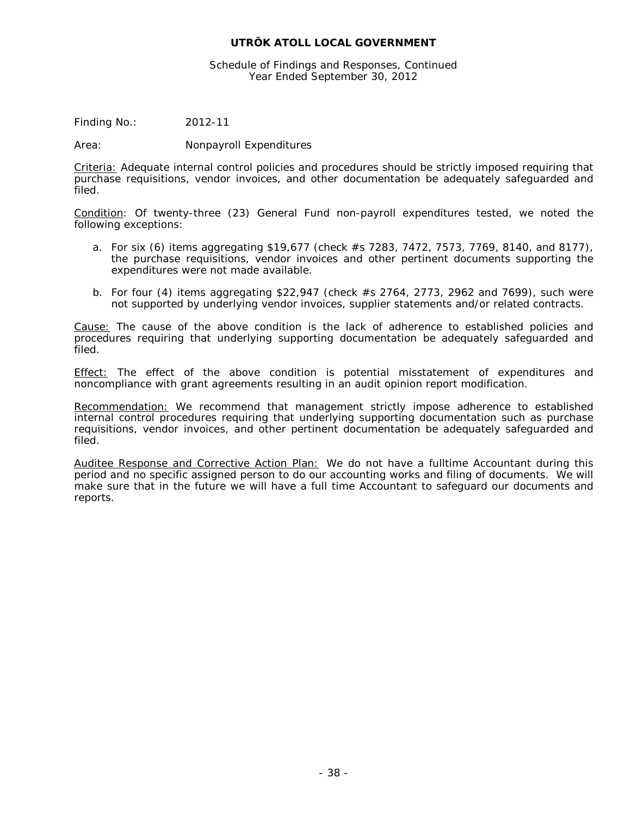Schedule of Findings and Responses, Continued Year Ended September 30, 2012

Finding No.: 2012-11

Area: Nonpayroll Expenditures

Criteria: Adequate internal control policies and procedures should be strictly imposed requiring that purchase requisitions, vendor invoices, and other documentation be adequately safeguarded and filed.

Condition: Of twenty-three (23) General Fund non-payroll expenditures tested, we noted the following exceptions:

- a. For six (6) items aggregating \$19,677 (check #s 7283, 7472, 7573, 7769, 8140, and 8177), the purchase requisitions, vendor invoices and other pertinent documents supporting the expenditures were not made available.
- b. For four (4) items aggregating \$22,947 (check #s 2764, 2773, 2962 and 7699), such were not supported by underlying vendor invoices, supplier statements and/or related contracts.

Cause: The cause of the above condition is the lack of adherence to established policies and procedures requiring that underlying supporting documentation be adequately safeguarded and filed.

**Effect:** The effect of the above condition is potential misstatement of expenditures and noncompliance with grant agreements resulting in an audit opinion report modification.

Recommendation: We recommend that management strictly impose adherence to established internal control procedures requiring that underlying supporting documentation such as purchase requisitions, vendor invoices, and other pertinent documentation be adequately safeguarded and filed.

Auditee Response and Corrective Action Plan: We do not have a fulltime Accountant during this period and no specific assigned person to do our accounting works and filing of documents. We will make sure that in the future we will have a full time Accountant to safeguard our documents and reports.